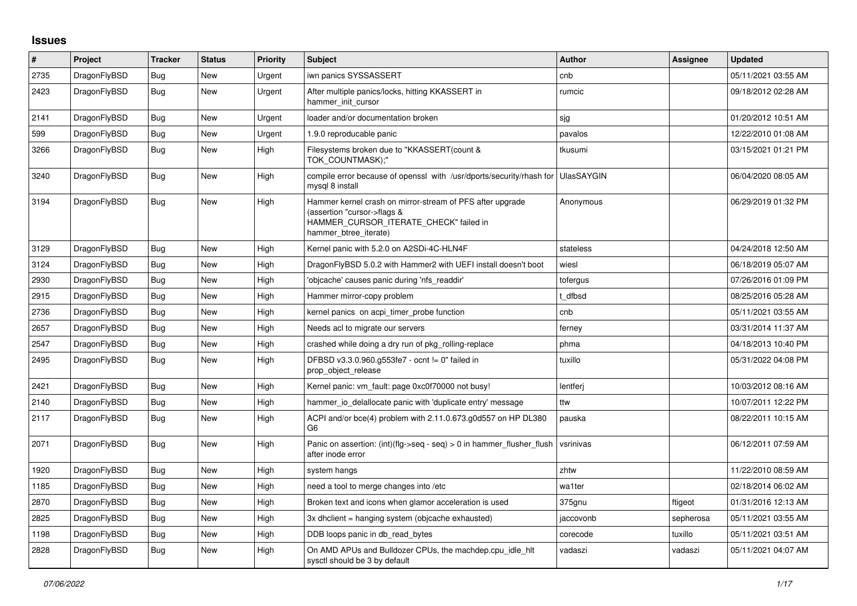## **Issues**

| #    | Project      | <b>Tracker</b> | <b>Status</b> | Priority | <b>Subject</b>                                                                                                                                              | <b>Author</b> | <b>Assignee</b> | <b>Updated</b>      |
|------|--------------|----------------|---------------|----------|-------------------------------------------------------------------------------------------------------------------------------------------------------------|---------------|-----------------|---------------------|
| 2735 | DragonFlyBSD | <b>Bug</b>     | New           | Urgent   | iwn panics SYSSASSERT                                                                                                                                       | cnb           |                 | 05/11/2021 03:55 AM |
| 2423 | DragonFlyBSD | Bug            | <b>New</b>    | Urgent   | After multiple panics/locks, hitting KKASSERT in<br>hammer init cursor                                                                                      | rumcic        |                 | 09/18/2012 02:28 AM |
| 2141 | DragonFlyBSD | Bug            | New           | Urgent   | loader and/or documentation broken                                                                                                                          | sjg           |                 | 01/20/2012 10:51 AM |
| 599  | DragonFlyBSD | <b>Bug</b>     | New           | Urgent   | 1.9.0 reproducable panic                                                                                                                                    | pavalos       |                 | 12/22/2010 01:08 AM |
| 3266 | DragonFlyBSD | Bug            | New           | High     | Filesystems broken due to "KKASSERT(count &<br>TOK COUNTMASK);"                                                                                             | tkusumi       |                 | 03/15/2021 01:21 PM |
| 3240 | DragonFlyBSD | Bug            | New           | High     | compile error because of openssl with /usr/dports/security/rhash for   UlasSAYGIN<br>mysgl 8 install                                                        |               |                 | 06/04/2020 08:05 AM |
| 3194 | DragonFlyBSD | Bug            | New           | High     | Hammer kernel crash on mirror-stream of PFS after upgrade<br>(assertion "cursor->flags &<br>HAMMER_CURSOR_ITERATE_CHECK" failed in<br>hammer btree iterate) | Anonymous     |                 | 06/29/2019 01:32 PM |
| 3129 | DragonFlyBSD | Bug            | <b>New</b>    | High     | Kernel panic with 5.2.0 on A2SDi-4C-HLN4F                                                                                                                   | stateless     |                 | 04/24/2018 12:50 AM |
| 3124 | DragonFlyBSD | Bug            | <b>New</b>    | High     | DragonFlyBSD 5.0.2 with Hammer2 with UEFI install doesn't boot                                                                                              | wiesl         |                 | 06/18/2019 05:07 AM |
| 2930 | DragonFlyBSD | Bug            | New           | High     | 'objcache' causes panic during 'nfs readdir'                                                                                                                | tofergus      |                 | 07/26/2016 01:09 PM |
| 2915 | DragonFlyBSD | Bug            | New           | High     | Hammer mirror-copy problem                                                                                                                                  | t dfbsd       |                 | 08/25/2016 05:28 AM |
| 2736 | DragonFlyBSD | Bug            | New           | High     | kernel panics on acpi timer probe function                                                                                                                  | cnb           |                 | 05/11/2021 03:55 AM |
| 2657 | DragonFlyBSD | <b>Bug</b>     | <b>New</b>    | High     | Needs acl to migrate our servers                                                                                                                            | ferney        |                 | 03/31/2014 11:37 AM |
| 2547 | DragonFlyBSD | <b>Bug</b>     | New           | High     | crashed while doing a dry run of pkg rolling-replace                                                                                                        | phma          |                 | 04/18/2013 10:40 PM |
| 2495 | DragonFlyBSD | Bug            | New           | High     | DFBSD v3.3.0.960.g553fe7 - ocnt != 0" failed in<br>prop object release                                                                                      | tuxillo       |                 | 05/31/2022 04:08 PM |
| 2421 | DragonFlyBSD | <b>Bug</b>     | New           | High     | Kernel panic: vm fault: page 0xc0f70000 not busy!                                                                                                           | lentferi      |                 | 10/03/2012 08:16 AM |
| 2140 | DragonFlyBSD | Bug            | New           | High     | hammer io delallocate panic with 'duplicate entry' message                                                                                                  | ttw           |                 | 10/07/2011 12:22 PM |
| 2117 | DragonFlyBSD | Bug            | New           | High     | ACPI and/or bce(4) problem with 2.11.0.673.g0d557 on HP DL380<br>G6                                                                                         | pauska        |                 | 08/22/2011 10:15 AM |
| 2071 | DragonFlyBSD | <b>Bug</b>     | New           | High     | Panic on assertion: $(int)(flg\rightarrow seq - seq) > 0$ in hammer flusher flush<br>after inode error                                                      | vsrinivas     |                 | 06/12/2011 07:59 AM |
| 1920 | DragonFlyBSD | Bug            | <b>New</b>    | High     | system hangs                                                                                                                                                | zhtw          |                 | 11/22/2010 08:59 AM |
| 1185 | DragonFlyBSD | Bug            | New           | High     | need a tool to merge changes into /etc                                                                                                                      | wa1ter        |                 | 02/18/2014 06:02 AM |
| 2870 | DragonFlyBSD | Bug            | New           | High     | Broken text and icons when glamor acceleration is used                                                                                                      | 375gnu        | ftigeot         | 01/31/2016 12:13 AM |
| 2825 | DragonFlyBSD | Bug            | New           | High     | 3x dhclient = hanging system (objcache exhausted)                                                                                                           | jaccovonb     | sepherosa       | 05/11/2021 03:55 AM |
| 1198 | DragonFlyBSD | Bug            | New           | High     | DDB loops panic in db read bytes                                                                                                                            | corecode      | tuxillo         | 05/11/2021 03:51 AM |
| 2828 | DragonFlyBSD | Bug            | New           | High     | On AMD APUs and Bulldozer CPUs, the machdep.cpu idle hit<br>sysctl should be 3 by default                                                                   | vadaszi       | vadaszi         | 05/11/2021 04:07 AM |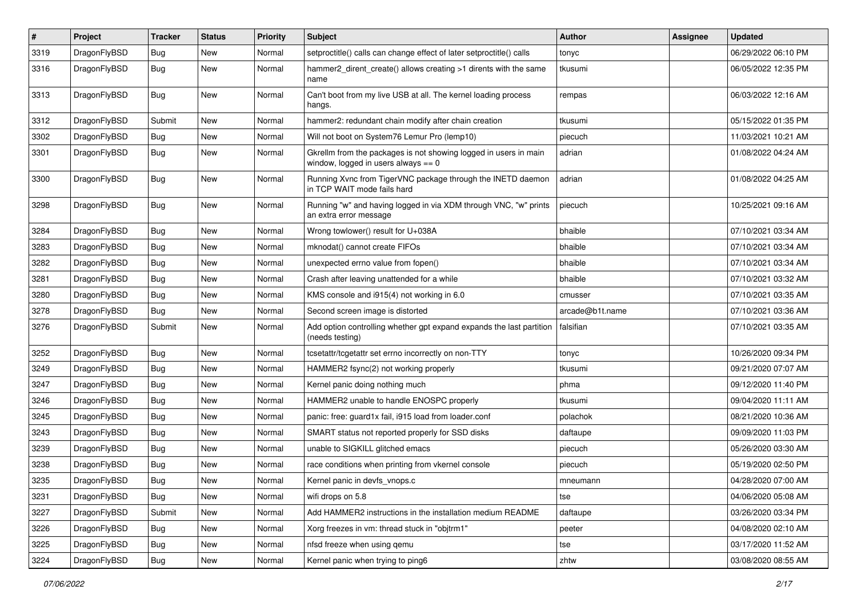| $\sharp$ | Project      | <b>Tracker</b> | <b>Status</b> | <b>Priority</b> | Subject                                                                                                   | Author          | Assignee | <b>Updated</b>      |
|----------|--------------|----------------|---------------|-----------------|-----------------------------------------------------------------------------------------------------------|-----------------|----------|---------------------|
| 3319     | DragonFlyBSD | <b>Bug</b>     | <b>New</b>    | Normal          | setproctitle() calls can change effect of later setproctitle() calls                                      | tonyc           |          | 06/29/2022 06:10 PM |
| 3316     | DragonFlyBSD | <b>Bug</b>     | New           | Normal          | hammer2_dirent_create() allows creating >1 dirents with the same<br>name                                  | tkusumi         |          | 06/05/2022 12:35 PM |
| 3313     | DragonFlyBSD | Bug            | <b>New</b>    | Normal          | Can't boot from my live USB at all. The kernel loading process<br>hangs.                                  | rempas          |          | 06/03/2022 12:16 AM |
| 3312     | DragonFlyBSD | Submit         | <b>New</b>    | Normal          | hammer2: redundant chain modify after chain creation                                                      | tkusumi         |          | 05/15/2022 01:35 PM |
| 3302     | DragonFlyBSD | Bug            | <b>New</b>    | Normal          | Will not boot on System76 Lemur Pro (lemp10)                                                              | piecuch         |          | 11/03/2021 10:21 AM |
| 3301     | DragonFlyBSD | Bug            | New           | Normal          | Gkrellm from the packages is not showing logged in users in main<br>window, logged in users always $== 0$ | adrian          |          | 01/08/2022 04:24 AM |
| 3300     | DragonFlyBSD | Bug            | New           | Normal          | Running Xvnc from TigerVNC package through the INETD daemon<br>in TCP WAIT mode fails hard                | adrian          |          | 01/08/2022 04:25 AM |
| 3298     | DragonFlyBSD | Bug            | <b>New</b>    | Normal          | Running "w" and having logged in via XDM through VNC, "w" prints<br>an extra error message                | piecuch         |          | 10/25/2021 09:16 AM |
| 3284     | DragonFlyBSD | <b>Bug</b>     | <b>New</b>    | Normal          | Wrong towlower() result for U+038A                                                                        | bhaible         |          | 07/10/2021 03:34 AM |
| 3283     | DragonFlyBSD | <b>Bug</b>     | New           | Normal          | mknodat() cannot create FIFOs                                                                             | bhaible         |          | 07/10/2021 03:34 AM |
| 3282     | DragonFlyBSD | <b>Bug</b>     | <b>New</b>    | Normal          | unexpected errno value from fopen()                                                                       | bhaible         |          | 07/10/2021 03:34 AM |
| 3281     | DragonFlyBSD | <b>Bug</b>     | <b>New</b>    | Normal          | Crash after leaving unattended for a while                                                                | bhaible         |          | 07/10/2021 03:32 AM |
| 3280     | DragonFlyBSD | <b>Bug</b>     | <b>New</b>    | Normal          | KMS console and i915(4) not working in 6.0                                                                | cmusser         |          | 07/10/2021 03:35 AM |
| 3278     | DragonFlyBSD | Bug            | New           | Normal          | Second screen image is distorted                                                                          | arcade@b1t.name |          | 07/10/2021 03:36 AM |
| 3276     | DragonFlyBSD | Submit         | New           | Normal          | Add option controlling whether gpt expand expands the last partition<br>(needs testing)                   | falsifian       |          | 07/10/2021 03:35 AM |
| 3252     | DragonFlyBSD | <b>Bug</b>     | New           | Normal          | tcsetattr/tcgetattr set errno incorrectly on non-TTY                                                      | tonyc           |          | 10/26/2020 09:34 PM |
| 3249     | DragonFlyBSD | Bug            | <b>New</b>    | Normal          | HAMMER2 fsync(2) not working properly                                                                     | tkusumi         |          | 09/21/2020 07:07 AM |
| 3247     | DragonFlyBSD | Bug            | <b>New</b>    | Normal          | Kernel panic doing nothing much                                                                           | phma            |          | 09/12/2020 11:40 PM |
| 3246     | DragonFlyBSD | <b>Bug</b>     | New           | Normal          | HAMMER2 unable to handle ENOSPC properly                                                                  | tkusumi         |          | 09/04/2020 11:11 AM |
| 3245     | DragonFlyBSD | <b>Bug</b>     | <b>New</b>    | Normal          | panic: free: guard1x fail, i915 load from loader.conf                                                     | polachok        |          | 08/21/2020 10:36 AM |
| 3243     | DragonFlyBSD | <b>Bug</b>     | <b>New</b>    | Normal          | SMART status not reported properly for SSD disks                                                          | daftaupe        |          | 09/09/2020 11:03 PM |
| 3239     | DragonFlyBSD | <b>Bug</b>     | <b>New</b>    | Normal          | unable to SIGKILL glitched emacs                                                                          | piecuch         |          | 05/26/2020 03:30 AM |
| 3238     | DragonFlyBSD | <b>Bug</b>     | <b>New</b>    | Normal          | race conditions when printing from vkernel console                                                        | piecuch         |          | 05/19/2020 02:50 PM |
| 3235     | DragonFlyBSD | Bug            | <b>New</b>    | Normal          | Kernel panic in devfs vnops.c                                                                             | mneumann        |          | 04/28/2020 07:00 AM |
| 3231     | DragonFlyBSD | Bug            | New           | Normal          | wifi drops on 5.8                                                                                         | tse             |          | 04/06/2020 05:08 AM |
| 3227     | DragonFlyBSD | Submit         | New           | Normal          | Add HAMMER2 instructions in the installation medium README                                                | daftaupe        |          | 03/26/2020 03:34 PM |
| 3226     | DragonFlyBSD | <b>Bug</b>     | New           | Normal          | Xorg freezes in vm: thread stuck in "objtrm1"                                                             | peeter          |          | 04/08/2020 02:10 AM |
| 3225     | DragonFlyBSD | Bug            | New           | Normal          | nfsd freeze when using qemu                                                                               | tse             |          | 03/17/2020 11:52 AM |
| 3224     | DragonFlyBSD | <b>Bug</b>     | New           | Normal          | Kernel panic when trying to ping6                                                                         | zhtw            |          | 03/08/2020 08:55 AM |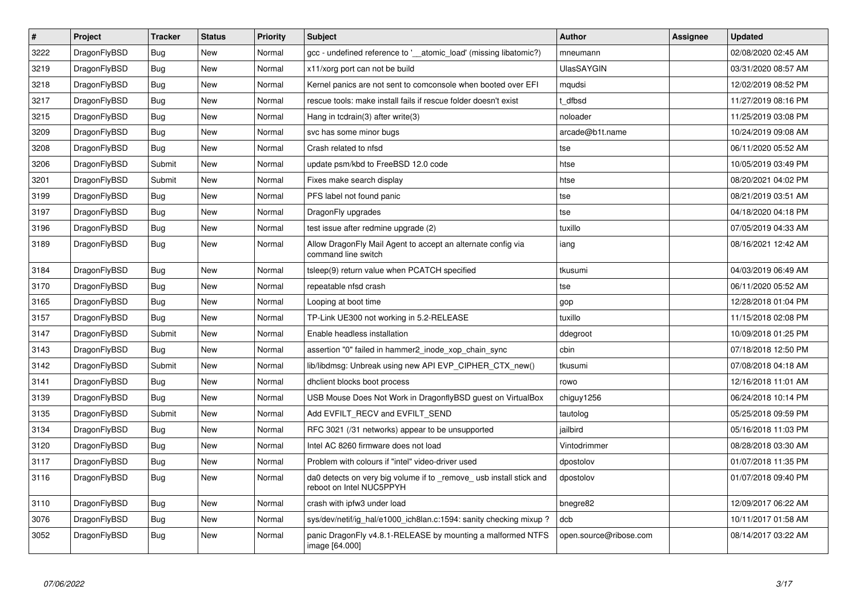| $\vert$ # | Project      | <b>Tracker</b> | <b>Status</b> | Priority | <b>Subject</b>                                                                                  | <b>Author</b>          | Assignee | <b>Updated</b>      |
|-----------|--------------|----------------|---------------|----------|-------------------------------------------------------------------------------------------------|------------------------|----------|---------------------|
| 3222      | DragonFlyBSD | Bug            | <b>New</b>    | Normal   | gcc - undefined reference to '__atomic_load' (missing libatomic?)                               | mneumann               |          | 02/08/2020 02:45 AM |
| 3219      | DragonFlyBSD | <b>Bug</b>     | <b>New</b>    | Normal   | x11/xorg port can not be build                                                                  | <b>UlasSAYGIN</b>      |          | 03/31/2020 08:57 AM |
| 3218      | DragonFlyBSD | Bug            | New           | Normal   | Kernel panics are not sent to comconsole when booted over EFI                                   | mqudsi                 |          | 12/02/2019 08:52 PM |
| 3217      | DragonFlyBSD | <b>Bug</b>     | <b>New</b>    | Normal   | rescue tools: make install fails if rescue folder doesn't exist                                 | t dfbsd                |          | 11/27/2019 08:16 PM |
| 3215      | DragonFlyBSD | Bug            | <b>New</b>    | Normal   | Hang in tcdrain(3) after write(3)                                                               | noloader               |          | 11/25/2019 03:08 PM |
| 3209      | DragonFlyBSD | Bug            | <b>New</b>    | Normal   | svc has some minor bugs                                                                         | arcade@b1t.name        |          | 10/24/2019 09:08 AM |
| 3208      | DragonFlyBSD | Bug            | New           | Normal   | Crash related to nfsd                                                                           | tse                    |          | 06/11/2020 05:52 AM |
| 3206      | DragonFlyBSD | Submit         | <b>New</b>    | Normal   | update psm/kbd to FreeBSD 12.0 code                                                             | htse                   |          | 10/05/2019 03:49 PM |
| 3201      | DragonFlyBSD | Submit         | New           | Normal   | Fixes make search display                                                                       | htse                   |          | 08/20/2021 04:02 PM |
| 3199      | DragonFlyBSD | Bug            | New           | Normal   | PFS label not found panic                                                                       | tse                    |          | 08/21/2019 03:51 AM |
| 3197      | DragonFlyBSD | <b>Bug</b>     | New           | Normal   | DragonFly upgrades                                                                              | tse                    |          | 04/18/2020 04:18 PM |
| 3196      | DragonFlyBSD | Bug            | New           | Normal   | test issue after redmine upgrade (2)                                                            | tuxillo                |          | 07/05/2019 04:33 AM |
| 3189      | DragonFlyBSD | <b>Bug</b>     | New           | Normal   | Allow DragonFly Mail Agent to accept an alternate config via<br>command line switch             | iang                   |          | 08/16/2021 12:42 AM |
| 3184      | DragonFlyBSD | Bug            | New           | Normal   | tsleep(9) return value when PCATCH specified                                                    | tkusumi                |          | 04/03/2019 06:49 AM |
| 3170      | DragonFlyBSD | <b>Bug</b>     | New           | Normal   | repeatable nfsd crash                                                                           | tse                    |          | 06/11/2020 05:52 AM |
| 3165      | DragonFlyBSD | Bug            | New           | Normal   | Looping at boot time                                                                            | gop                    |          | 12/28/2018 01:04 PM |
| 3157      | DragonFlyBSD | Bug            | New           | Normal   | TP-Link UE300 not working in 5.2-RELEASE                                                        | tuxillo                |          | 11/15/2018 02:08 PM |
| 3147      | DragonFlyBSD | Submit         | New           | Normal   | Enable headless installation                                                                    | ddegroot               |          | 10/09/2018 01:25 PM |
| 3143      | DragonFlyBSD | Bug            | New           | Normal   | assertion "0" failed in hammer2_inode_xop_chain_sync                                            | cbin                   |          | 07/18/2018 12:50 PM |
| 3142      | DragonFlyBSD | Submit         | <b>New</b>    | Normal   | lib/libdmsg: Unbreak using new API EVP_CIPHER_CTX_new()                                         | tkusumi                |          | 07/08/2018 04:18 AM |
| 3141      | DragonFlyBSD | Bug            | New           | Normal   | dhclient blocks boot process                                                                    | rowo                   |          | 12/16/2018 11:01 AM |
| 3139      | DragonFlyBSD | <b>Bug</b>     | <b>New</b>    | Normal   | USB Mouse Does Not Work in DragonflyBSD guest on VirtualBox                                     | chiguy1256             |          | 06/24/2018 10:14 PM |
| 3135      | DragonFlyBSD | Submit         | <b>New</b>    | Normal   | Add EVFILT RECV and EVFILT SEND                                                                 | tautolog               |          | 05/25/2018 09:59 PM |
| 3134      | DragonFlyBSD | Bug            | New           | Normal   | RFC 3021 (/31 networks) appear to be unsupported                                                | jailbird               |          | 05/16/2018 11:03 PM |
| 3120      | DragonFlyBSD | <b>Bug</b>     | <b>New</b>    | Normal   | Intel AC 8260 firmware does not load                                                            | Vintodrimmer           |          | 08/28/2018 03:30 AM |
| 3117      | DragonFlyBSD | <b>Bug</b>     | <b>New</b>    | Normal   | Problem with colours if "intel" video-driver used                                               | dpostolov              |          | 01/07/2018 11:35 PM |
| 3116      | DragonFlyBSD | <b>Bug</b>     | <b>New</b>    | Normal   | da0 detects on very big volume if to _remove_ usb install stick and<br>reboot on Intel NUC5PPYH | dpostolov              |          | 01/07/2018 09:40 PM |
| 3110      | DragonFlyBSD | <b>Bug</b>     | <b>New</b>    | Normal   | crash with ipfw3 under load                                                                     | bnegre82               |          | 12/09/2017 06:22 AM |
| 3076      | DragonFlyBSD | <b>Bug</b>     | <b>New</b>    | Normal   | sys/dev/netif/ig_hal/e1000_ich8lan.c:1594: sanity checking mixup?                               | dcb                    |          | 10/11/2017 01:58 AM |
| 3052      | DragonFlyBSD | Bug            | <b>New</b>    | Normal   | panic DragonFly v4.8.1-RELEASE by mounting a malformed NTFS<br>image [64.000]                   | open.source@ribose.com |          | 08/14/2017 03:22 AM |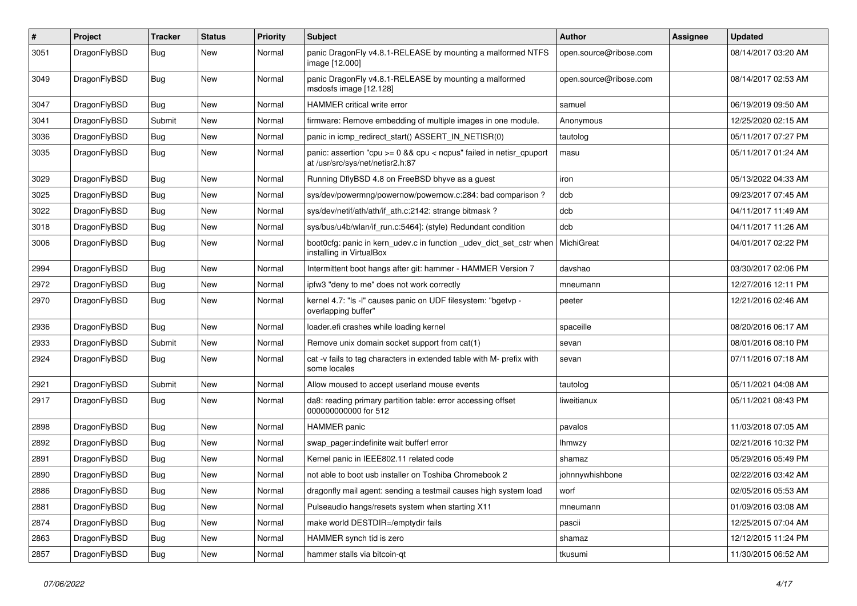| $\#$ | Project      | <b>Tracker</b> | <b>Status</b> | <b>Priority</b> | Subject                                                                                                 | <b>Author</b>          | Assignee | <b>Updated</b>      |
|------|--------------|----------------|---------------|-----------------|---------------------------------------------------------------------------------------------------------|------------------------|----------|---------------------|
| 3051 | DragonFlyBSD | Bug            | <b>New</b>    | Normal          | panic DragonFly v4.8.1-RELEASE by mounting a malformed NTFS<br>image [12.000]                           | open.source@ribose.com |          | 08/14/2017 03:20 AM |
| 3049 | DragonFlyBSD | Bug            | <b>New</b>    | Normal          | panic DragonFly v4.8.1-RELEASE by mounting a malformed<br>msdosfs image [12.128]                        | open.source@ribose.com |          | 08/14/2017 02:53 AM |
| 3047 | DragonFlyBSD | Bug            | <b>New</b>    | Normal          | HAMMER critical write error                                                                             | samuel                 |          | 06/19/2019 09:50 AM |
| 3041 | DragonFlyBSD | Submit         | New           | Normal          | firmware: Remove embedding of multiple images in one module.                                            | Anonymous              |          | 12/25/2020 02:15 AM |
| 3036 | DragonFlyBSD | Bug            | <b>New</b>    | Normal          | panic in icmp_redirect_start() ASSERT_IN_NETISR(0)                                                      | tautolog               |          | 05/11/2017 07:27 PM |
| 3035 | DragonFlyBSD | Bug            | New           | Normal          | panic: assertion "cpu >= 0 && cpu < ncpus" failed in netisr_cpuport<br>at /usr/src/sys/net/netisr2.h:87 | masu                   |          | 05/11/2017 01:24 AM |
| 3029 | DragonFlyBSD | Bug            | <b>New</b>    | Normal          | Running DflyBSD 4.8 on FreeBSD bhyve as a guest                                                         | iron                   |          | 05/13/2022 04:33 AM |
| 3025 | DragonFlyBSD | <b>Bug</b>     | <b>New</b>    | Normal          | sys/dev/powermng/powernow/powernow.c:284: bad comparison?                                               | dcb                    |          | 09/23/2017 07:45 AM |
| 3022 | DragonFlyBSD | <b>Bug</b>     | New           | Normal          | sys/dev/netif/ath/ath/if_ath.c:2142: strange bitmask?                                                   | dcb                    |          | 04/11/2017 11:49 AM |
| 3018 | DragonFlyBSD | <b>Bug</b>     | <b>New</b>    | Normal          | sys/bus/u4b/wlan/if_run.c:5464]: (style) Redundant condition                                            | dcb                    |          | 04/11/2017 11:26 AM |
| 3006 | DragonFlyBSD | Bug            | <b>New</b>    | Normal          | boot0cfg: panic in kern udev.c in function udev dict set cstr when<br>installing in VirtualBox          | MichiGreat             |          | 04/01/2017 02:22 PM |
| 2994 | DragonFlyBSD | Bug            | <b>New</b>    | Normal          | Intermittent boot hangs after git: hammer - HAMMER Version 7                                            | davshao                |          | 03/30/2017 02:06 PM |
| 2972 | DragonFlyBSD | <b>Bug</b>     | <b>New</b>    | Normal          | ipfw3 "deny to me" does not work correctly                                                              | mneumann               |          | 12/27/2016 12:11 PM |
| 2970 | DragonFlyBSD | Bug            | <b>New</b>    | Normal          | kernel 4.7: "Is -I" causes panic on UDF filesystem: "bgetvp -<br>overlapping buffer"                    | peeter                 |          | 12/21/2016 02:46 AM |
| 2936 | DragonFlyBSD | Bug            | <b>New</b>    | Normal          | loader.efi crashes while loading kernel                                                                 | spaceille              |          | 08/20/2016 06:17 AM |
| 2933 | DragonFlyBSD | Submit         | <b>New</b>    | Normal          | Remove unix domain socket support from cat(1)                                                           | sevan                  |          | 08/01/2016 08:10 PM |
| 2924 | DragonFlyBSD | Bug            | New           | Normal          | cat -v fails to tag characters in extended table with M- prefix with<br>some locales                    | sevan                  |          | 07/11/2016 07:18 AM |
| 2921 | DragonFlyBSD | Submit         | <b>New</b>    | Normal          | Allow moused to accept userland mouse events                                                            | tautolog               |          | 05/11/2021 04:08 AM |
| 2917 | DragonFlyBSD | Bug            | New           | Normal          | da8: reading primary partition table: error accessing offset<br>000000000000 for 512                    | liweitianux            |          | 05/11/2021 08:43 PM |
| 2898 | DragonFlyBSD | <b>Bug</b>     | <b>New</b>    | Normal          | HAMMER panic                                                                                            | pavalos                |          | 11/03/2018 07:05 AM |
| 2892 | DragonFlyBSD | <b>Bug</b>     | New           | Normal          | swap pager:indefinite wait bufferf error                                                                | <b>Ihmwzy</b>          |          | 02/21/2016 10:32 PM |
| 2891 | DragonFlyBSD | Bug            | <b>New</b>    | Normal          | Kernel panic in IEEE802.11 related code                                                                 | shamaz                 |          | 05/29/2016 05:49 PM |
| 2890 | DragonFlyBSD | Bug            | New           | Normal          | not able to boot usb installer on Toshiba Chromebook 2                                                  | johnnywhishbone        |          | 02/22/2016 03:42 AM |
| 2886 | DragonFlyBSD | Bug            | <b>New</b>    | Normal          | dragonfly mail agent: sending a testmail causes high system load                                        | worf                   |          | 02/05/2016 05:53 AM |
| 2881 | DragonFlyBSD | Bug            | New           | Normal          | Pulseaudio hangs/resets system when starting X11                                                        | mneumann               |          | 01/09/2016 03:08 AM |
| 2874 | DragonFlyBSD | <b>Bug</b>     | New           | Normal          | make world DESTDIR=/emptydir fails                                                                      | pascii                 |          | 12/25/2015 07:04 AM |
| 2863 | DragonFlyBSD | <b>Bug</b>     | New           | Normal          | HAMMER synch tid is zero                                                                                | shamaz                 |          | 12/12/2015 11:24 PM |
| 2857 | DragonFlyBSD | <b>Bug</b>     | New           | Normal          | hammer stalls via bitcoin-qt                                                                            | tkusumi                |          | 11/30/2015 06:52 AM |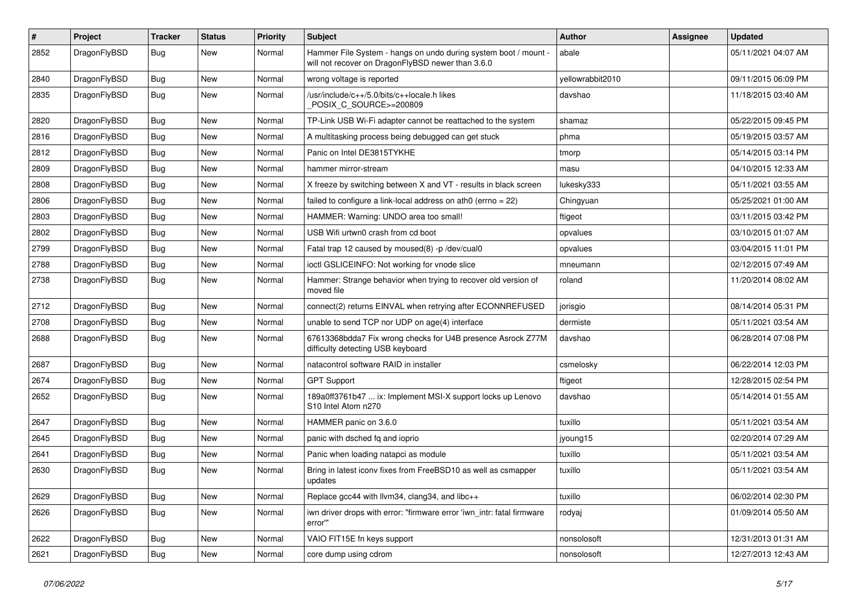| $\pmb{\#}$ | Project      | <b>Tracker</b> | <b>Status</b> | <b>Priority</b> | <b>Subject</b>                                                                                                       | Author           | Assignee | <b>Updated</b>      |
|------------|--------------|----------------|---------------|-----------------|----------------------------------------------------------------------------------------------------------------------|------------------|----------|---------------------|
| 2852       | DragonFlyBSD | Bug            | New           | Normal          | Hammer File System - hangs on undo during system boot / mount -<br>will not recover on DragonFlyBSD newer than 3.6.0 | abale            |          | 05/11/2021 04:07 AM |
| 2840       | DragonFlyBSD | <b>Bug</b>     | <b>New</b>    | Normal          | wrong voltage is reported                                                                                            | yellowrabbit2010 |          | 09/11/2015 06:09 PM |
| 2835       | DragonFlyBSD | Bug            | New           | Normal          | /usr/include/c++/5.0/bits/c++locale.h likes<br>POSIX_C_SOURCE>=200809                                                | davshao          |          | 11/18/2015 03:40 AM |
| 2820       | DragonFlyBSD | <b>Bug</b>     | New           | Normal          | TP-Link USB Wi-Fi adapter cannot be reattached to the system                                                         | shamaz           |          | 05/22/2015 09:45 PM |
| 2816       | DragonFlyBSD | <b>Bug</b>     | <b>New</b>    | Normal          | A multitasking process being debugged can get stuck                                                                  | phma             |          | 05/19/2015 03:57 AM |
| 2812       | DragonFlyBSD | <b>Bug</b>     | New           | Normal          | Panic on Intel DE3815TYKHE                                                                                           | tmorp            |          | 05/14/2015 03:14 PM |
| 2809       | DragonFlyBSD | <b>Bug</b>     | New           | Normal          | hammer mirror-stream                                                                                                 | masu             |          | 04/10/2015 12:33 AM |
| 2808       | DragonFlyBSD | Bug            | <b>New</b>    | Normal          | X freeze by switching between X and VT - results in black screen                                                     | lukesky333       |          | 05/11/2021 03:55 AM |
| 2806       | DragonFlyBSD | <b>Bug</b>     | <b>New</b>    | Normal          | failed to configure a link-local address on ath0 (errno = $22$ )                                                     | Chingyuan        |          | 05/25/2021 01:00 AM |
| 2803       | DragonFlyBSD | <b>Bug</b>     | New           | Normal          | HAMMER: Warning: UNDO area too small!                                                                                | ftigeot          |          | 03/11/2015 03:42 PM |
| 2802       | DragonFlyBSD | <b>Bug</b>     | New           | Normal          | USB Wifi urtwn0 crash from cd boot                                                                                   | opvalues         |          | 03/10/2015 01:07 AM |
| 2799       | DragonFlyBSD | <b>Bug</b>     | <b>New</b>    | Normal          | Fatal trap 12 caused by moused(8) -p /dev/cual0                                                                      | opvalues         |          | 03/04/2015 11:01 PM |
| 2788       | DragonFlyBSD | Bug            | <b>New</b>    | Normal          | ioctl GSLICEINFO: Not working for vnode slice                                                                        | mneumann         |          | 02/12/2015 07:49 AM |
| 2738       | DragonFlyBSD | Bug            | New           | Normal          | Hammer: Strange behavior when trying to recover old version of<br>moved file                                         | roland           |          | 11/20/2014 08:02 AM |
| 2712       | DragonFlyBSD | Bug            | <b>New</b>    | Normal          | connect(2) returns EINVAL when retrying after ECONNREFUSED                                                           | jorisgio         |          | 08/14/2014 05:31 PM |
| 2708       | DragonFlyBSD | <b>Bug</b>     | <b>New</b>    | Normal          | unable to send TCP nor UDP on age(4) interface                                                                       | dermiste         |          | 05/11/2021 03:54 AM |
| 2688       | DragonFlyBSD | Bug            | New           | Normal          | 67613368bdda7 Fix wrong checks for U4B presence Asrock Z77M<br>difficulty detecting USB keyboard                     | davshao          |          | 06/28/2014 07:08 PM |
| 2687       | DragonFlyBSD | Bug            | <b>New</b>    | Normal          | natacontrol software RAID in installer                                                                               | csmelosky        |          | 06/22/2014 12:03 PM |
| 2674       | DragonFlyBSD | Bug            | <b>New</b>    | Normal          | <b>GPT Support</b>                                                                                                   | ftigeot          |          | 12/28/2015 02:54 PM |
| 2652       | DragonFlyBSD | Bug            | New           | Normal          | 189a0ff3761b47  ix: Implement MSI-X support locks up Lenovo<br>S10 Intel Atom n270                                   | davshao          |          | 05/14/2014 01:55 AM |
| 2647       | DragonFlyBSD | Bug            | <b>New</b>    | Normal          | HAMMER panic on 3.6.0                                                                                                | tuxillo          |          | 05/11/2021 03:54 AM |
| 2645       | DragonFlyBSD | <b>Bug</b>     | New           | Normal          | panic with dsched fq and ioprio                                                                                      | jyoung15         |          | 02/20/2014 07:29 AM |
| 2641       | DragonFlyBSD | <b>Bug</b>     | New           | Normal          | Panic when loading natapci as module                                                                                 | tuxillo          |          | 05/11/2021 03:54 AM |
| 2630       | DragonFlyBSD | Bug            | New           | Normal          | Bring in latest iconv fixes from FreeBSD10 as well as csmapper<br>updates                                            | tuxillo          |          | 05/11/2021 03:54 AM |
| 2629       | DragonFlyBSD | <b>Bug</b>     | New           | Normal          | Replace gcc44 with llvm34, clang34, and libc++                                                                       | tuxillo          |          | 06/02/2014 02:30 PM |
| 2626       | DragonFlyBSD | Bug            | New           | Normal          | iwn driver drops with error: "firmware error 'iwn intr: fatal firmware<br>error""                                    | rodyaj           |          | 01/09/2014 05:50 AM |
| 2622       | DragonFlyBSD | Bug            | <b>New</b>    | Normal          | VAIO FIT15E fn keys support                                                                                          | nonsolosoft      |          | 12/31/2013 01:31 AM |
| 2621       | DragonFlyBSD | <b>Bug</b>     | New           | Normal          | core dump using cdrom                                                                                                | nonsolosoft      |          | 12/27/2013 12:43 AM |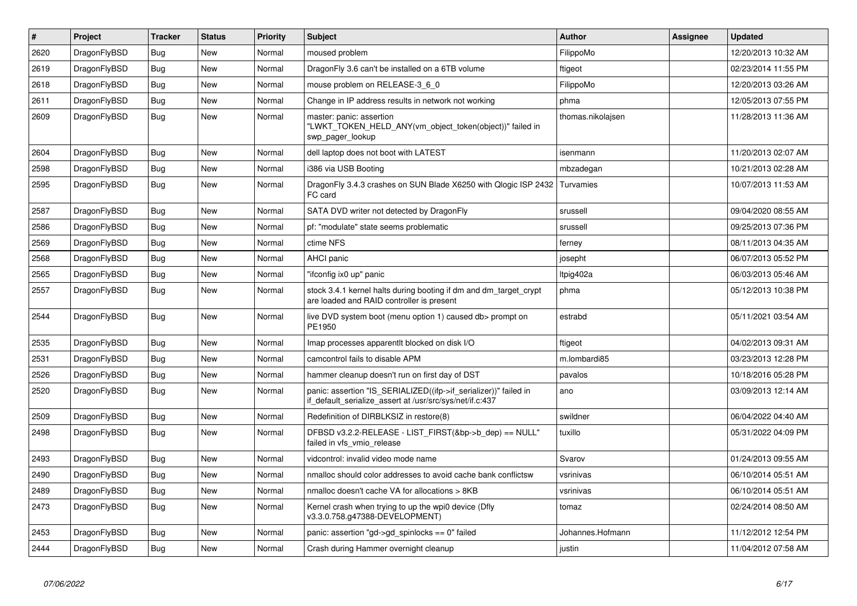| $\#$ | Project      | <b>Tracker</b> | <b>Status</b> | <b>Priority</b> | <b>Subject</b>                                                                                                               | <b>Author</b>     | Assignee | <b>Updated</b>      |
|------|--------------|----------------|---------------|-----------------|------------------------------------------------------------------------------------------------------------------------------|-------------------|----------|---------------------|
| 2620 | DragonFlyBSD | Bug            | <b>New</b>    | Normal          | moused problem                                                                                                               | FilippoMo         |          | 12/20/2013 10:32 AM |
| 2619 | DragonFlyBSD | <b>Bug</b>     | <b>New</b>    | Normal          | Dragon Fly 3.6 can't be installed on a 6TB volume                                                                            | ftigeot           |          | 02/23/2014 11:55 PM |
| 2618 | DragonFlyBSD | Bug            | New           | Normal          | mouse problem on RELEASE-3 6 0                                                                                               | FilippoMo         |          | 12/20/2013 03:26 AM |
| 2611 | DragonFlyBSD | <b>Bug</b>     | New           | Normal          | Change in IP address results in network not working                                                                          | phma              |          | 12/05/2013 07:55 PM |
| 2609 | DragonFlyBSD | Bug            | <b>New</b>    | Normal          | master: panic: assertion<br>"LWKT_TOKEN_HELD_ANY(vm_object_token(object))" failed in<br>swp_pager_lookup                     | thomas.nikolajsen |          | 11/28/2013 11:36 AM |
| 2604 | DragonFlyBSD | Bug            | <b>New</b>    | Normal          | dell laptop does not boot with LATEST                                                                                        | isenmann          |          | 11/20/2013 02:07 AM |
| 2598 | DragonFlyBSD | <b>Bug</b>     | <b>New</b>    | Normal          | i386 via USB Booting                                                                                                         | mbzadegan         |          | 10/21/2013 02:28 AM |
| 2595 | DragonFlyBSD | Bug            | <b>New</b>    | Normal          | DragonFly 3.4.3 crashes on SUN Blade X6250 with Qlogic ISP 2432<br>FC card                                                   | Turvamies         |          | 10/07/2013 11:53 AM |
| 2587 | DragonFlyBSD | <b>Bug</b>     | <b>New</b>    | Normal          | SATA DVD writer not detected by DragonFly                                                                                    | srussell          |          | 09/04/2020 08:55 AM |
| 2586 | DragonFlyBSD | Bug            | <b>New</b>    | Normal          | pf: "modulate" state seems problematic                                                                                       | srussell          |          | 09/25/2013 07:36 PM |
| 2569 | DragonFlyBSD | <b>Bug</b>     | <b>New</b>    | Normal          | ctime NFS                                                                                                                    | ferney            |          | 08/11/2013 04:35 AM |
| 2568 | DragonFlyBSD | <b>Bug</b>     | <b>New</b>    | Normal          | <b>AHCI</b> panic                                                                                                            | josepht           |          | 06/07/2013 05:52 PM |
| 2565 | DragonFlyBSD | <b>Bug</b>     | <b>New</b>    | Normal          | "ifconfig ix0 up" panic                                                                                                      | Itpig402a         |          | 06/03/2013 05:46 AM |
| 2557 | DragonFlyBSD | <b>Bug</b>     | <b>New</b>    | Normal          | stock 3.4.1 kernel halts during booting if dm and dm_target_crypt<br>are loaded and RAID controller is present               | phma              |          | 05/12/2013 10:38 PM |
| 2544 | DragonFlyBSD | Bug            | <b>New</b>    | Normal          | live DVD system boot (menu option 1) caused db> prompt on<br>PE1950                                                          | estrabd           |          | 05/11/2021 03:54 AM |
| 2535 | DragonFlyBSD | <b>Bug</b>     | <b>New</b>    | Normal          | Imap processes apparent t blocked on disk I/O                                                                                | ftigeot           |          | 04/02/2013 09:31 AM |
| 2531 | DragonFlyBSD | Bug            | <b>New</b>    | Normal          | camcontrol fails to disable APM                                                                                              | m.lombardi85      |          | 03/23/2013 12:28 PM |
| 2526 | DragonFlyBSD | <b>Bug</b>     | <b>New</b>    | Normal          | hammer cleanup doesn't run on first day of DST                                                                               | pavalos           |          | 10/18/2016 05:28 PM |
| 2520 | DragonFlyBSD | Bug            | <b>New</b>    | Normal          | panic: assertion "IS_SERIALIZED((ifp->if_serializer))" failed in<br>if default serialize assert at /usr/src/sys/net/if.c:437 | ano               |          | 03/09/2013 12:14 AM |
| 2509 | DragonFlyBSD | <b>Bug</b>     | <b>New</b>    | Normal          | Redefinition of DIRBLKSIZ in restore(8)                                                                                      | swildner          |          | 06/04/2022 04:40 AM |
| 2498 | DragonFlyBSD | Bug            | <b>New</b>    | Normal          | DFBSD v3.2.2-RELEASE - LIST_FIRST(&bp->b_dep) == NULL"<br>failed in vfs_vmio_release                                         | tuxillo           |          | 05/31/2022 04:09 PM |
| 2493 | DragonFlyBSD | Bug            | <b>New</b>    | Normal          | vidcontrol: invalid video mode name                                                                                          | Svarov            |          | 01/24/2013 09:55 AM |
| 2490 | DragonFlyBSD | <b>Bug</b>     | <b>New</b>    | Normal          | nmalloc should color addresses to avoid cache bank conflictsw                                                                | vsrinivas         |          | 06/10/2014 05:51 AM |
| 2489 | DragonFlyBSD | <b>Bug</b>     | <b>New</b>    | Normal          | nmalloc doesn't cache VA for allocations > 8KB                                                                               | vsrinivas         |          | 06/10/2014 05:51 AM |
| 2473 | DragonFlyBSD | <b>Bug</b>     | <b>New</b>    | Normal          | Kernel crash when trying to up the wpi0 device (Dfly<br>v3.3.0.758.g47388-DEVELOPMENT)                                       | tomaz             |          | 02/24/2014 08:50 AM |
| 2453 | DragonFlyBSD | <b>Bug</b>     | New           | Normal          | panic: assertion "gd->gd spinlocks == $0$ " failed                                                                           | Johannes.Hofmann  |          | 11/12/2012 12:54 PM |
| 2444 | DragonFlyBSD | Bug            | New           | Normal          | Crash during Hammer overnight cleanup                                                                                        | justin            |          | 11/04/2012 07:58 AM |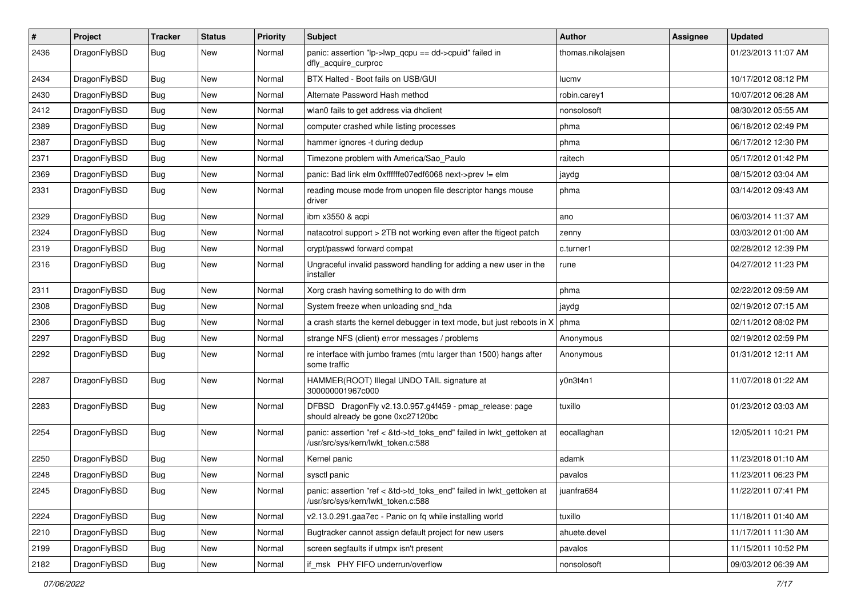| $\sharp$ | Project      | <b>Tracker</b> | <b>Status</b> | <b>Priority</b> | Subject                                                                                                    | <b>Author</b>     | Assignee | <b>Updated</b>      |
|----------|--------------|----------------|---------------|-----------------|------------------------------------------------------------------------------------------------------------|-------------------|----------|---------------------|
| 2436     | DragonFlyBSD | Bug            | New           | Normal          | panic: assertion "lp->lwp_qcpu == dd->cpuid" failed in<br>dfly_acquire_curproc                             | thomas.nikolajsen |          | 01/23/2013 11:07 AM |
| 2434     | DragonFlyBSD | Bug            | <b>New</b>    | Normal          | BTX Halted - Boot fails on USB/GUI                                                                         | lucmv             |          | 10/17/2012 08:12 PM |
| 2430     | DragonFlyBSD | Bug            | New           | Normal          | Alternate Password Hash method                                                                             | robin.carey1      |          | 10/07/2012 06:28 AM |
| 2412     | DragonFlyBSD | Bug            | <b>New</b>    | Normal          | wlan0 fails to get address via dhclient                                                                    | nonsolosoft       |          | 08/30/2012 05:55 AM |
| 2389     | DragonFlyBSD | Bug            | New           | Normal          | computer crashed while listing processes                                                                   | phma              |          | 06/18/2012 02:49 PM |
| 2387     | DragonFlyBSD | Bug            | New           | Normal          | hammer ignores -t during dedup                                                                             | phma              |          | 06/17/2012 12:30 PM |
| 2371     | DragonFlyBSD | Bug            | <b>New</b>    | Normal          | Timezone problem with America/Sao_Paulo                                                                    | raitech           |          | 05/17/2012 01:42 PM |
| 2369     | DragonFlyBSD | Bug            | New           | Normal          | panic: Bad link elm 0xffffffe07edf6068 next->prev != elm                                                   | jaydg             |          | 08/15/2012 03:04 AM |
| 2331     | DragonFlyBSD | Bug            | New           | Normal          | reading mouse mode from unopen file descriptor hangs mouse<br>driver                                       | phma              |          | 03/14/2012 09:43 AM |
| 2329     | DragonFlyBSD | Bug            | <b>New</b>    | Normal          | ibm x3550 & acpi                                                                                           | ano               |          | 06/03/2014 11:37 AM |
| 2324     | DragonFlyBSD | Bug            | New           | Normal          | natacotrol support > 2TB not working even after the ftigeot patch                                          | zenny             |          | 03/03/2012 01:00 AM |
| 2319     | DragonFlyBSD | Bug            | New           | Normal          | crypt/passwd forward compat                                                                                | c.turner1         |          | 02/28/2012 12:39 PM |
| 2316     | DragonFlyBSD | Bug            | New           | Normal          | Ungraceful invalid password handling for adding a new user in the<br>installer                             | rune              |          | 04/27/2012 11:23 PM |
| 2311     | DragonFlyBSD | Bug            | <b>New</b>    | Normal          | Xorg crash having something to do with drm                                                                 | phma              |          | 02/22/2012 09:59 AM |
| 2308     | DragonFlyBSD | Bug            | <b>New</b>    | Normal          | System freeze when unloading snd hda                                                                       | jaydg             |          | 02/19/2012 07:15 AM |
| 2306     | DragonFlyBSD | Bug            | New           | Normal          | a crash starts the kernel debugger in text mode, but just reboots in X                                     | phma              |          | 02/11/2012 08:02 PM |
| 2297     | DragonFlyBSD | Bug            | New           | Normal          | strange NFS (client) error messages / problems                                                             | Anonymous         |          | 02/19/2012 02:59 PM |
| 2292     | DragonFlyBSD | Bug            | New           | Normal          | re interface with jumbo frames (mtu larger than 1500) hangs after<br>some traffic                          | Anonymous         |          | 01/31/2012 12:11 AM |
| 2287     | DragonFlyBSD | Bug            | New           | Normal          | HAMMER(ROOT) Illegal UNDO TAIL signature at<br>300000001967c000                                            | y0n3t4n1          |          | 11/07/2018 01:22 AM |
| 2283     | DragonFlyBSD | <b>Bug</b>     | <b>New</b>    | Normal          | DFBSD DragonFly v2.13.0.957.g4f459 - pmap_release: page<br>should already be gone 0xc27120bc               | tuxillo           |          | 01/23/2012 03:03 AM |
| 2254     | DragonFlyBSD | Bug            | New           | Normal          | panic: assertion "ref < &td->td_toks_end" failed in lwkt_gettoken at<br>/usr/src/sys/kern/lwkt_token.c:588 | eocallaghan       |          | 12/05/2011 10:21 PM |
| 2250     | DragonFlyBSD | Bug            | <b>New</b>    | Normal          | Kernel panic                                                                                               | adamk             |          | 11/23/2018 01:10 AM |
| 2248     | DragonFlyBSD | <b>Bug</b>     | New           | Normal          | sysctl panic                                                                                               | pavalos           |          | 11/23/2011 06:23 PM |
| 2245     | DragonFlyBSD | <b>Bug</b>     | New           | Normal          | panic: assertion "ref < &td->td_toks_end" failed in lwkt_gettoken at<br>/usr/src/sys/kern/lwkt_token.c:588 | juanfra684        |          | 11/22/2011 07:41 PM |
| 2224     | DragonFlyBSD | <b>Bug</b>     | New           | Normal          | v2.13.0.291.gaa7ec - Panic on fq while installing world                                                    | tuxillo           |          | 11/18/2011 01:40 AM |
| 2210     | DragonFlyBSD | Bug            | New           | Normal          | Bugtracker cannot assign default project for new users                                                     | ahuete.devel      |          | 11/17/2011 11:30 AM |
| 2199     | DragonFlyBSD | Bug            | New           | Normal          | screen segfaults if utmpx isn't present                                                                    | pavalos           |          | 11/15/2011 10:52 PM |
| 2182     | DragonFlyBSD | <b>Bug</b>     | New           | Normal          | if_msk PHY FIFO underrun/overflow                                                                          | nonsolosoft       |          | 09/03/2012 06:39 AM |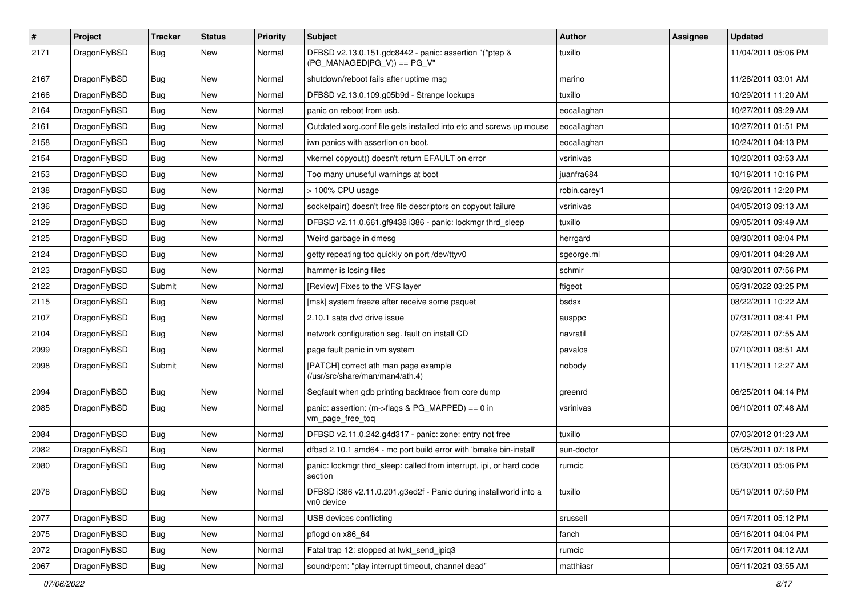| $\pmb{\#}$ | Project      | <b>Tracker</b> | <b>Status</b> | <b>Priority</b> | <b>Subject</b>                                                                         | Author       | Assignee | <b>Updated</b>      |
|------------|--------------|----------------|---------------|-----------------|----------------------------------------------------------------------------------------|--------------|----------|---------------------|
| 2171       | DragonFlyBSD | Bug            | New           | Normal          | DFBSD v2.13.0.151.gdc8442 - panic: assertion "(*ptep &<br>$(PG_MANAGED PG_V)$ == PG_V" | tuxillo      |          | 11/04/2011 05:06 PM |
| 2167       | DragonFlyBSD | <b>Bug</b>     | New           | Normal          | shutdown/reboot fails after uptime msg                                                 | marino       |          | 11/28/2011 03:01 AM |
| 2166       | DragonFlyBSD | Bug            | New           | Normal          | DFBSD v2.13.0.109.g05b9d - Strange lockups                                             | tuxillo      |          | 10/29/2011 11:20 AM |
| 2164       | DragonFlyBSD | <b>Bug</b>     | New           | Normal          | panic on reboot from usb.                                                              | eocallaghan  |          | 10/27/2011 09:29 AM |
| 2161       | DragonFlyBSD | <b>Bug</b>     | New           | Normal          | Outdated xorg.conf file gets installed into etc and screws up mouse                    | eocallaghan  |          | 10/27/2011 01:51 PM |
| 2158       | DragonFlyBSD | Bug            | <b>New</b>    | Normal          | iwn panics with assertion on boot.                                                     | eocallaghan  |          | 10/24/2011 04:13 PM |
| 2154       | DragonFlyBSD | Bug            | New           | Normal          | vkernel copyout() doesn't return EFAULT on error                                       | vsrinivas    |          | 10/20/2011 03:53 AM |
| 2153       | DragonFlyBSD | Bug            | New           | Normal          | Too many unuseful warnings at boot                                                     | juanfra684   |          | 10/18/2011 10:16 PM |
| 2138       | DragonFlyBSD | Bug            | <b>New</b>    | Normal          | > 100% CPU usage                                                                       | robin.carey1 |          | 09/26/2011 12:20 PM |
| 2136       | DragonFlyBSD | Bug            | New           | Normal          | socketpair() doesn't free file descriptors on copyout failure                          | vsrinivas    |          | 04/05/2013 09:13 AM |
| 2129       | DragonFlyBSD | <b>Bug</b>     | New           | Normal          | DFBSD v2.11.0.661.gf9438 i386 - panic: lockmgr thrd_sleep                              | tuxillo      |          | 09/05/2011 09:49 AM |
| 2125       | DragonFlyBSD | Bug            | New           | Normal          | Weird garbage in dmesg                                                                 | herrgard     |          | 08/30/2011 08:04 PM |
| 2124       | DragonFlyBSD | Bug            | New           | Normal          | getty repeating too quickly on port /dev/ttyv0                                         | sgeorge.ml   |          | 09/01/2011 04:28 AM |
| 2123       | DragonFlyBSD | Bug            | New           | Normal          | hammer is losing files                                                                 | schmir       |          | 08/30/2011 07:56 PM |
| 2122       | DragonFlyBSD | Submit         | New           | Normal          | [Review] Fixes to the VFS layer                                                        | ftigeot      |          | 05/31/2022 03:25 PM |
| 2115       | DragonFlyBSD | Bug            | New           | Normal          | [msk] system freeze after receive some paquet                                          | bsdsx        |          | 08/22/2011 10:22 AM |
| 2107       | DragonFlyBSD | <b>Bug</b>     | New           | Normal          | 2.10.1 sata dvd drive issue                                                            | ausppc       |          | 07/31/2011 08:41 PM |
| 2104       | DragonFlyBSD | Bug            | <b>New</b>    | Normal          | network configuration seg. fault on install CD                                         | navratil     |          | 07/26/2011 07:55 AM |
| 2099       | DragonFlyBSD | Bug            | <b>New</b>    | Normal          | page fault panic in vm system                                                          | pavalos      |          | 07/10/2011 08:51 AM |
| 2098       | DragonFlyBSD | Submit         | New           | Normal          | [PATCH] correct ath man page example<br>(/usr/src/share/man/man4/ath.4)                | nobody       |          | 11/15/2011 12:27 AM |
| 2094       | DragonFlyBSD | <b>Bug</b>     | <b>New</b>    | Normal          | Segfault when gdb printing backtrace from core dump                                    | greenrd      |          | 06/25/2011 04:14 PM |
| 2085       | DragonFlyBSD | Bug            | New           | Normal          | panic: assertion: $(m\rightarrow$ flags & PG MAPPED) == 0 in<br>vm_page_free_toq       | vsrinivas    |          | 06/10/2011 07:48 AM |
| 2084       | DragonFlyBSD | <b>Bug</b>     | <b>New</b>    | Normal          | DFBSD v2.11.0.242.g4d317 - panic: zone: entry not free                                 | tuxillo      |          | 07/03/2012 01:23 AM |
| 2082       | DragonFlyBSD | <b>Bug</b>     | New           | Normal          | dfbsd 2.10.1 amd64 - mc port build error with 'bmake bin-install'                      | sun-doctor   |          | 05/25/2011 07:18 PM |
| 2080       | DragonFlyBSD | Bug            | New           | Normal          | panic: lockmgr thrd sleep: called from interrupt, ipi, or hard code<br>section         | rumcic       |          | 05/30/2011 05:06 PM |
| 2078       | DragonFlyBSD | Bug            | New           | Normal          | DFBSD i386 v2.11.0.201.g3ed2f - Panic during installworld into a<br>vn0 device         | tuxillo      |          | 05/19/2011 07:50 PM |
| 2077       | DragonFlyBSD | <b>Bug</b>     | <b>New</b>    | Normal          | USB devices conflicting                                                                | srussell     |          | 05/17/2011 05:12 PM |
| 2075       | DragonFlyBSD | Bug            | New           | Normal          | pflogd on x86_64                                                                       | fanch        |          | 05/16/2011 04:04 PM |
| 2072       | DragonFlyBSD | <b>Bug</b>     | New           | Normal          | Fatal trap 12: stopped at lwkt_send_ipiq3                                              | rumcic       |          | 05/17/2011 04:12 AM |
| 2067       | DragonFlyBSD | Bug            | New           | Normal          | sound/pcm: "play interrupt timeout, channel dead"                                      | matthiasr    |          | 05/11/2021 03:55 AM |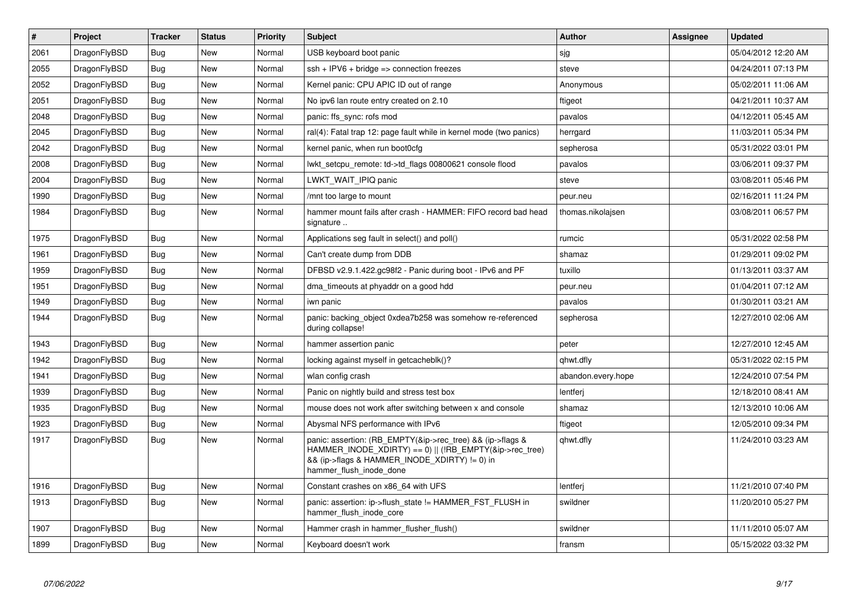| $\vert$ # | Project      | <b>Tracker</b> | <b>Status</b> | Priority | <b>Subject</b>                                                                                                                                                                                    | Author             | Assignee | <b>Updated</b>      |
|-----------|--------------|----------------|---------------|----------|---------------------------------------------------------------------------------------------------------------------------------------------------------------------------------------------------|--------------------|----------|---------------------|
| 2061      | DragonFlyBSD | <b>Bug</b>     | <b>New</b>    | Normal   | USB keyboard boot panic                                                                                                                                                                           | sjg                |          | 05/04/2012 12:20 AM |
| 2055      | DragonFlyBSD | Bug            | <b>New</b>    | Normal   | $ssh + IPV6 + bridge \Rightarrow connection freezes$                                                                                                                                              | steve              |          | 04/24/2011 07:13 PM |
| 2052      | DragonFlyBSD | Bug            | <b>New</b>    | Normal   | Kernel panic: CPU APIC ID out of range                                                                                                                                                            | Anonymous          |          | 05/02/2011 11:06 AM |
| 2051      | DragonFlyBSD | <b>Bug</b>     | New           | Normal   | No ipv6 lan route entry created on 2.10                                                                                                                                                           | ftigeot            |          | 04/21/2011 10:37 AM |
| 2048      | DragonFlyBSD | Bug            | <b>New</b>    | Normal   | panic: ffs sync: rofs mod                                                                                                                                                                         | pavalos            |          | 04/12/2011 05:45 AM |
| 2045      | DragonFlyBSD | <b>Bug</b>     | <b>New</b>    | Normal   | ral(4): Fatal trap 12: page fault while in kernel mode (two panics)                                                                                                                               | herrgard           |          | 11/03/2011 05:34 PM |
| 2042      | DragonFlyBSD | Bug            | New           | Normal   | kernel panic, when run boot0cfg                                                                                                                                                                   | sepherosa          |          | 05/31/2022 03:01 PM |
| 2008      | DragonFlyBSD | <b>Bug</b>     | <b>New</b>    | Normal   | lwkt_setcpu_remote: td->td_flags 00800621 console flood                                                                                                                                           | pavalos            |          | 03/06/2011 09:37 PM |
| 2004      | DragonFlyBSD | Bug            | New           | Normal   | LWKT WAIT IPIQ panic                                                                                                                                                                              | steve              |          | 03/08/2011 05:46 PM |
| 1990      | DragonFlyBSD | Bug            | <b>New</b>    | Normal   | /mnt too large to mount                                                                                                                                                                           | peur.neu           |          | 02/16/2011 11:24 PM |
| 1984      | DragonFlyBSD | <b>Bug</b>     | New           | Normal   | hammer mount fails after crash - HAMMER: FIFO record bad head<br>signature                                                                                                                        | thomas.nikolajsen  |          | 03/08/2011 06:57 PM |
| 1975      | DragonFlyBSD | <b>Bug</b>     | New           | Normal   | Applications seg fault in select() and poll()                                                                                                                                                     | rumcic             |          | 05/31/2022 02:58 PM |
| 1961      | DragonFlyBSD | Bug            | New           | Normal   | Can't create dump from DDB                                                                                                                                                                        | shamaz             |          | 01/29/2011 09:02 PM |
| 1959      | DragonFlyBSD | <b>Bug</b>     | <b>New</b>    | Normal   | DFBSD v2.9.1.422.gc98f2 - Panic during boot - IPv6 and PF                                                                                                                                         | tuxillo            |          | 01/13/2011 03:37 AM |
| 1951      | DragonFlyBSD | Bug            | <b>New</b>    | Normal   | dma timeouts at phyaddr on a good hdd                                                                                                                                                             | peur.neu           |          | 01/04/2011 07:12 AM |
| 1949      | DragonFlyBSD | Bug            | <b>New</b>    | Normal   | iwn panic                                                                                                                                                                                         | pavalos            |          | 01/30/2011 03:21 AM |
| 1944      | DragonFlyBSD | <b>Bug</b>     | New           | Normal   | panic: backing object 0xdea7b258 was somehow re-referenced<br>during collapse!                                                                                                                    | sepherosa          |          | 12/27/2010 02:06 AM |
| 1943      | DragonFlyBSD | Bug            | <b>New</b>    | Normal   | hammer assertion panic                                                                                                                                                                            | peter              |          | 12/27/2010 12:45 AM |
| 1942      | DragonFlyBSD | Bug            | New           | Normal   | locking against myself in getcacheblk()?                                                                                                                                                          | qhwt.dfly          |          | 05/31/2022 02:15 PM |
| 1941      | DragonFlyBSD | <b>Bug</b>     | <b>New</b>    | Normal   | wlan config crash                                                                                                                                                                                 | abandon.every.hope |          | 12/24/2010 07:54 PM |
| 1939      | DragonFlyBSD | Bug            | New           | Normal   | Panic on nightly build and stress test box                                                                                                                                                        | lentferj           |          | 12/18/2010 08:41 AM |
| 1935      | DragonFlyBSD | Bug            | <b>New</b>    | Normal   | mouse does not work after switching between x and console                                                                                                                                         | shamaz             |          | 12/13/2010 10:06 AM |
| 1923      | DragonFlyBSD | <b>Bug</b>     | New           | Normal   | Abysmal NFS performance with IPv6                                                                                                                                                                 | ftigeot            |          | 12/05/2010 09:34 PM |
| 1917      | DragonFlyBSD | <b>Bug</b>     | New           | Normal   | panic: assertion: (RB EMPTY(&ip->rec_tree) && (ip->flags &<br>HAMMER_INODE_XDIRTY) == 0)    (!RB_EMPTY(&ip->rec_tree)<br>&& (ip->flags & HAMMER INODE XDIRTY) != 0) in<br>hammer_flush_inode_done | qhwt.dfly          |          | 11/24/2010 03:23 AM |
| 1916      | DragonFlyBSD | Bug            | New           | Normal   | Constant crashes on x86_64 with UFS                                                                                                                                                               | lentferj           |          | 11/21/2010 07:40 PM |
| 1913      | DragonFlyBSD | <b>Bug</b>     | <b>New</b>    | Normal   | panic: assertion: ip->flush_state != HAMMER_FST_FLUSH in<br>hammer_flush_inode_core                                                                                                               | swildner           |          | 11/20/2010 05:27 PM |
| 1907      | DragonFlyBSD | <b>Bug</b>     | <b>New</b>    | Normal   | Hammer crash in hammer flusher flush()                                                                                                                                                            | swildner           |          | 11/11/2010 05:07 AM |
| 1899      | DragonFlyBSD | Bug            | New           | Normal   | Keyboard doesn't work                                                                                                                                                                             | fransm             |          | 05/15/2022 03:32 PM |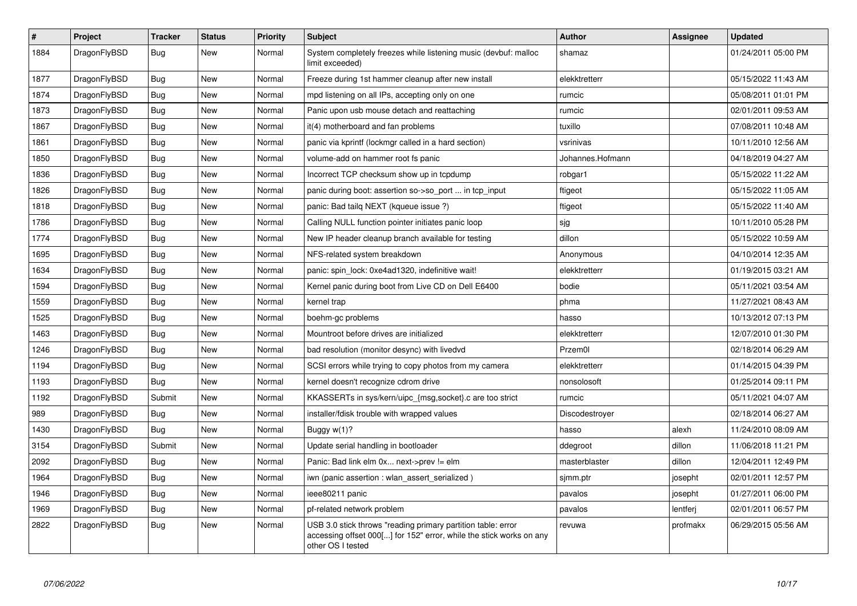| $\vert$ # | <b>Project</b> | <b>Tracker</b> | <b>Status</b> | <b>Priority</b> | <b>Subject</b>                                                                                                                                           | <b>Author</b>    | Assignee | Updated             |
|-----------|----------------|----------------|---------------|-----------------|----------------------------------------------------------------------------------------------------------------------------------------------------------|------------------|----------|---------------------|
| 1884      | DragonFlyBSD   | <b>Bug</b>     | <b>New</b>    | Normal          | System completely freezes while listening music (devbuf: malloc<br>limit exceeded)                                                                       | shamaz           |          | 01/24/2011 05:00 PM |
| 1877      | DragonFlyBSD   | <b>Bug</b>     | New           | Normal          | Freeze during 1st hammer cleanup after new install                                                                                                       | elekktretterr    |          | 05/15/2022 11:43 AM |
| 1874      | DragonFlyBSD   | Bug            | New           | Normal          | mpd listening on all IPs, accepting only on one                                                                                                          | rumcic           |          | 05/08/2011 01:01 PM |
| 1873      | DragonFlyBSD   | <b>Bug</b>     | <b>New</b>    | Normal          | Panic upon usb mouse detach and reattaching                                                                                                              | rumcic           |          | 02/01/2011 09:53 AM |
| 1867      | DragonFlyBSD   | <b>Bug</b>     | New           | Normal          | it(4) motherboard and fan problems                                                                                                                       | tuxillo          |          | 07/08/2011 10:48 AM |
| 1861      | DragonFlyBSD   | <b>Bug</b>     | New           | Normal          | panic via kprintf (lockmgr called in a hard section)                                                                                                     | vsrinivas        |          | 10/11/2010 12:56 AM |
| 1850      | DragonFlyBSD   | <b>Bug</b>     | New           | Normal          | volume-add on hammer root fs panic                                                                                                                       | Johannes.Hofmann |          | 04/18/2019 04:27 AM |
| 1836      | DragonFlyBSD   | Bug            | New           | Normal          | Incorrect TCP checksum show up in tcpdump                                                                                                                | robgar1          |          | 05/15/2022 11:22 AM |
| 1826      | DragonFlyBSD   | <b>Bug</b>     | <b>New</b>    | Normal          | panic during boot: assertion so->so_port  in tcp_input                                                                                                   | ftigeot          |          | 05/15/2022 11:05 AM |
| 1818      | DragonFlyBSD   | Bug            | New           | Normal          | panic: Bad tailg NEXT (kqueue issue ?)                                                                                                                   | ftigeot          |          | 05/15/2022 11:40 AM |
| 1786      | DragonFlyBSD   | Bug            | <b>New</b>    | Normal          | Calling NULL function pointer initiates panic loop                                                                                                       | sjg              |          | 10/11/2010 05:28 PM |
| 1774      | DragonFlyBSD   | Bug            | <b>New</b>    | Normal          | New IP header cleanup branch available for testing                                                                                                       | dillon           |          | 05/15/2022 10:59 AM |
| 1695      | DragonFlyBSD   | <b>Bug</b>     | <b>New</b>    | Normal          | NFS-related system breakdown                                                                                                                             | Anonymous        |          | 04/10/2014 12:35 AM |
| 1634      | DragonFlyBSD   | <b>Bug</b>     | <b>New</b>    | Normal          | panic: spin_lock: 0xe4ad1320, indefinitive wait!                                                                                                         | elekktretterr    |          | 01/19/2015 03:21 AM |
| 1594      | DragonFlyBSD   | <b>Bug</b>     | <b>New</b>    | Normal          | Kernel panic during boot from Live CD on Dell E6400                                                                                                      | bodie            |          | 05/11/2021 03:54 AM |
| 1559      | DragonFlyBSD   | <b>Bug</b>     | <b>New</b>    | Normal          | kernel trap                                                                                                                                              | phma             |          | 11/27/2021 08:43 AM |
| 1525      | DragonFlyBSD   | <b>Bug</b>     | New           | Normal          | boehm-gc problems                                                                                                                                        | hasso            |          | 10/13/2012 07:13 PM |
| 1463      | DragonFlyBSD   | <b>Bug</b>     | <b>New</b>    | Normal          | Mountroot before drives are initialized                                                                                                                  | elekktretterr    |          | 12/07/2010 01:30 PM |
| 1246      | DragonFlyBSD   | Bug            | New           | Normal          | bad resolution (monitor desync) with livedvd                                                                                                             | Przem0l          |          | 02/18/2014 06:29 AM |
| 1194      | DragonFlyBSD   | <b>Bug</b>     | <b>New</b>    | Normal          | SCSI errors while trying to copy photos from my camera                                                                                                   | elekktretterr    |          | 01/14/2015 04:39 PM |
| 1193      | DragonFlyBSD   | Bug            | New           | Normal          | kernel doesn't recognize cdrom drive                                                                                                                     | nonsolosoft      |          | 01/25/2014 09:11 PM |
| 1192      | DragonFlyBSD   | Submit         | New           | Normal          | KKASSERTs in sys/kern/uipc_{msg,socket}.c are too strict                                                                                                 | rumcic           |          | 05/11/2021 04:07 AM |
| 989       | DragonFlyBSD   | Bug            | New           | Normal          | installer/fdisk trouble with wrapped values                                                                                                              | Discodestroyer   |          | 02/18/2014 06:27 AM |
| 1430      | DragonFlyBSD   | Bug            | New           | Normal          | Buggy w(1)?                                                                                                                                              | hasso            | alexh    | 11/24/2010 08:09 AM |
| 3154      | DragonFlyBSD   | Submit         | <b>New</b>    | Normal          | Update serial handling in bootloader                                                                                                                     | ddegroot         | dillon   | 11/06/2018 11:21 PM |
| 2092      | DragonFlyBSD   | <b>Bug</b>     | <b>New</b>    | Normal          | Panic: Bad link elm 0x next->prev != elm                                                                                                                 | masterblaster    | dillon   | 12/04/2011 12:49 PM |
| 1964      | DragonFlyBSD   | <b>Bug</b>     | <b>New</b>    | Normal          | iwn (panic assertion : wlan assert serialized)                                                                                                           | sjmm.ptr         | josepht  | 02/01/2011 12:57 PM |
| 1946      | DragonFlyBSD   | Bug            | New           | Normal          | ieee80211 panic                                                                                                                                          | pavalos          | josepht  | 01/27/2011 06:00 PM |
| 1969      | DragonFlyBSD   | <b>Bug</b>     | New           | Normal          | pf-related network problem                                                                                                                               | pavalos          | lentferj | 02/01/2011 06:57 PM |
| 2822      | DragonFlyBSD   | <b>Bug</b>     | <b>New</b>    | Normal          | USB 3.0 stick throws "reading primary partition table: error<br>accessing offset 000[] for 152" error, while the stick works on any<br>other OS I tested | revuwa           | profmakx | 06/29/2015 05:56 AM |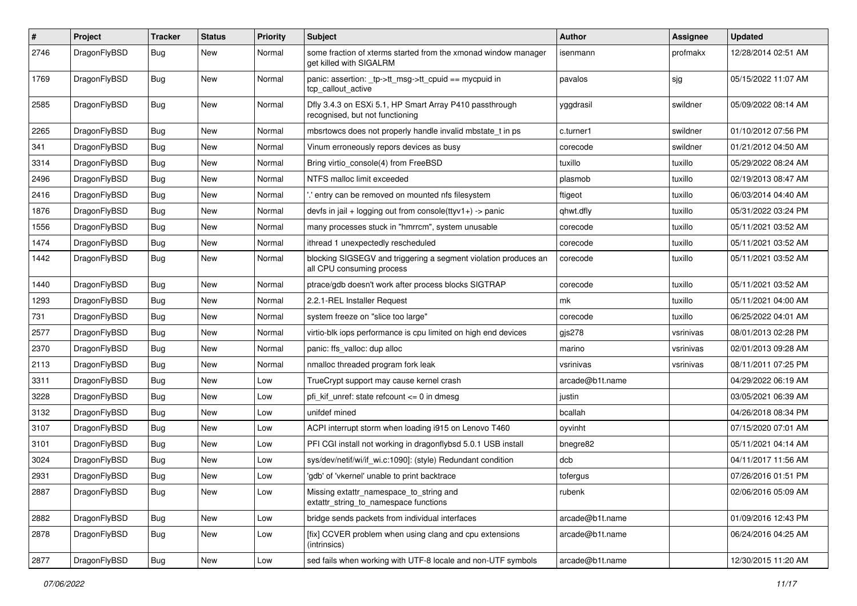| #    | Project      | <b>Tracker</b> | <b>Status</b> | <b>Priority</b> | Subject                                                                                      | Author          | <b>Assignee</b> | <b>Updated</b>      |
|------|--------------|----------------|---------------|-----------------|----------------------------------------------------------------------------------------------|-----------------|-----------------|---------------------|
| 2746 | DragonFlyBSD | Bug            | New           | Normal          | some fraction of xterms started from the xmonad window manager<br>get killed with SIGALRM    | isenmann        | profmakx        | 12/28/2014 02:51 AM |
| 1769 | DragonFlyBSD | Bug            | <b>New</b>    | Normal          | panic: assertion: _tp->tt_msg->tt_cpuid == mycpuid in<br>tcp callout active                  | pavalos         | sjg             | 05/15/2022 11:07 AM |
| 2585 | DragonFlyBSD | Bug            | <b>New</b>    | Normal          | Dfly 3.4.3 on ESXi 5.1, HP Smart Array P410 passthrough<br>recognised, but not functioning   | yggdrasil       | swildner        | 05/09/2022 08:14 AM |
| 2265 | DragonFlyBSD | Bug            | <b>New</b>    | Normal          | mbsrtowcs does not properly handle invalid mbstate t in ps                                   | c.turner1       | swildner        | 01/10/2012 07:56 PM |
| 341  | DragonFlyBSD | Bug            | New           | Normal          | Vinum erroneously repors devices as busy                                                     | corecode        | swildner        | 01/21/2012 04:50 AM |
| 3314 | DragonFlyBSD | <b>Bug</b>     | New           | Normal          | Bring virtio console(4) from FreeBSD                                                         | tuxillo         | tuxillo         | 05/29/2022 08:24 AM |
| 2496 | DragonFlyBSD | <b>Bug</b>     | New           | Normal          | NTFS malloc limit exceeded                                                                   | plasmob         | tuxillo         | 02/19/2013 08:47 AM |
| 2416 | DragonFlyBSD | Bug            | New           | Normal          | ".' entry can be removed on mounted nfs filesystem                                           | ftigeot         | tuxillo         | 06/03/2014 04:40 AM |
| 1876 | DragonFlyBSD | Bug            | New           | Normal          | devfs in jail + logging out from console(ttyv1+) -> panic                                    | qhwt.dfly       | tuxillo         | 05/31/2022 03:24 PM |
| 1556 | DragonFlyBSD | <b>Bug</b>     | New           | Normal          | many processes stuck in "hmrrcm", system unusable                                            | corecode        | tuxillo         | 05/11/2021 03:52 AM |
| 1474 | DragonFlyBSD | <b>Bug</b>     | New           | Normal          | ithread 1 unexpectedly rescheduled                                                           | corecode        | tuxillo         | 05/11/2021 03:52 AM |
| 1442 | DragonFlyBSD | Bug            | New           | Normal          | blocking SIGSEGV and triggering a segment violation produces an<br>all CPU consuming process | corecode        | tuxillo         | 05/11/2021 03:52 AM |
| 1440 | DragonFlyBSD | <b>Bug</b>     | <b>New</b>    | Normal          | ptrace/gdb doesn't work after process blocks SIGTRAP                                         | corecode        | tuxillo         | 05/11/2021 03:52 AM |
| 1293 | DragonFlyBSD | <b>Bug</b>     | <b>New</b>    | Normal          | 2.2.1-REL Installer Request                                                                  | mk              | tuxillo         | 05/11/2021 04:00 AM |
| 731  | DragonFlyBSD | Bug            | New           | Normal          | system freeze on "slice too large"                                                           | corecode        | tuxillo         | 06/25/2022 04:01 AM |
| 2577 | DragonFlyBSD | Bug            | New           | Normal          | virtio-blk iops performance is cpu limited on high end devices                               | $q$ js278       | vsrinivas       | 08/01/2013 02:28 PM |
| 2370 | DragonFlyBSD | Bug            | New           | Normal          | panic: ffs valloc: dup alloc                                                                 | marino          | vsrinivas       | 02/01/2013 09:28 AM |
| 2113 | DragonFlyBSD | <b>Bug</b>     | New           | Normal          | nmalloc threaded program fork leak                                                           | vsrinivas       | vsrinivas       | 08/11/2011 07:25 PM |
| 3311 | DragonFlyBSD | <b>Bug</b>     | New           | Low             | TrueCrypt support may cause kernel crash                                                     | arcade@b1t.name |                 | 04/29/2022 06:19 AM |
| 3228 | DragonFlyBSD | <b>Bug</b>     | New           | Low             | pfi kif unref: state refcount $\leq 0$ in dmesg                                              | justin          |                 | 03/05/2021 06:39 AM |
| 3132 | DragonFlyBSD | Bug            | New           | Low             | unifdef mined                                                                                | bcallah         |                 | 04/26/2018 08:34 PM |
| 3107 | DragonFlyBSD | Bug            | New           | Low             | ACPI interrupt storm when loading i915 on Lenovo T460                                        | oyvinht         |                 | 07/15/2020 07:01 AM |
| 3101 | DragonFlyBSD | <b>Bug</b>     | New           | Low             | PFI CGI install not working in dragonflybsd 5.0.1 USB install                                | bnegre82        |                 | 05/11/2021 04:14 AM |
| 3024 | DragonFlyBSD | Bug            | New           | Low             | sys/dev/netif/wi/if wi.c:1090]: (style) Redundant condition                                  | dcb             |                 | 04/11/2017 11:56 AM |
| 2931 | DragonFlyBSD | Bug            | New           | Low             | 'gdb' of 'vkernel' unable to print backtrace                                                 | tofergus        |                 | 07/26/2016 01:51 PM |
| 2887 | DragonFlyBSD | <b>Bug</b>     | New           | Low             | Missing extattr_namespace_to_string and<br>extattr_string_to_namespace functions             | rubenk          |                 | 02/06/2016 05:09 AM |
| 2882 | DragonFlyBSD | Bug            | New           | Low             | bridge sends packets from individual interfaces                                              | arcade@b1t.name |                 | 01/09/2016 12:43 PM |
| 2878 | DragonFlyBSD | Bug            | New           | Low             | [fix] CCVER problem when using clang and cpu extensions<br>(intrinsics)                      | arcade@b1t.name |                 | 06/24/2016 04:25 AM |
| 2877 | DragonFlyBSD | <b>Bug</b>     | New           | Low             | sed fails when working with UTF-8 locale and non-UTF symbols                                 | arcade@b1t.name |                 | 12/30/2015 11:20 AM |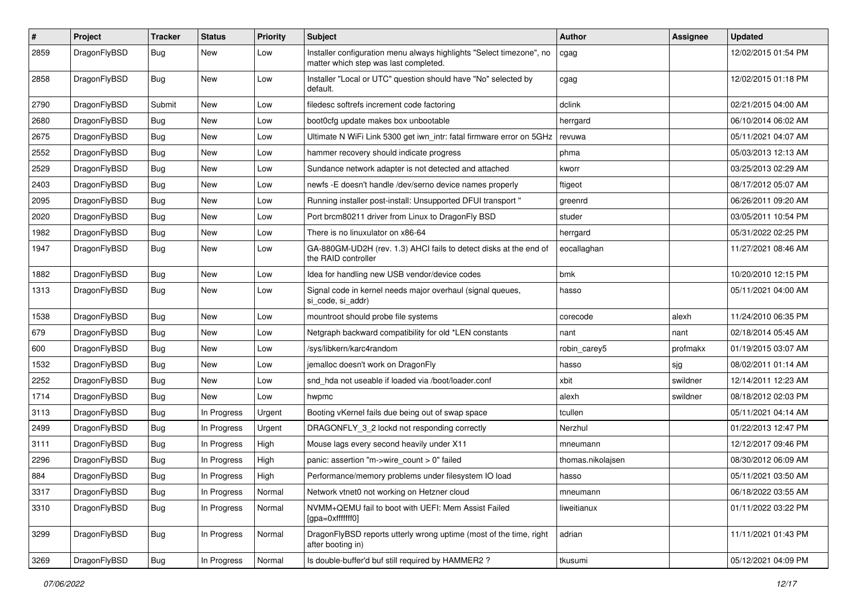| $\vert$ # | Project      | <b>Tracker</b> | <b>Status</b> | <b>Priority</b> | <b>Subject</b>                                                                                                | Author            | Assignee | <b>Updated</b>      |
|-----------|--------------|----------------|---------------|-----------------|---------------------------------------------------------------------------------------------------------------|-------------------|----------|---------------------|
| 2859      | DragonFlyBSD | Bug            | New           | Low             | Installer configuration menu always highlights "Select timezone", no<br>matter which step was last completed. | cgag              |          | 12/02/2015 01:54 PM |
| 2858      | DragonFlyBSD | Bug            | New           | Low             | Installer "Local or UTC" question should have "No" selected by<br>default.                                    | cgag              |          | 12/02/2015 01:18 PM |
| 2790      | DragonFlyBSD | Submit         | <b>New</b>    | Low             | filedesc softrefs increment code factoring                                                                    | dclink            |          | 02/21/2015 04:00 AM |
| 2680      | DragonFlyBSD | <b>Bug</b>     | New           | Low             | boot0cfg update makes box unbootable                                                                          | herrgard          |          | 06/10/2014 06:02 AM |
| 2675      | DragonFlyBSD | <b>Bug</b>     | <b>New</b>    | Low             | Ultimate N WiFi Link 5300 get iwn_intr: fatal firmware error on 5GHz                                          | revuwa            |          | 05/11/2021 04:07 AM |
| 2552      | DragonFlyBSD | <b>Bug</b>     | New           | Low             | hammer recovery should indicate progress                                                                      | phma              |          | 05/03/2013 12:13 AM |
| 2529      | DragonFlyBSD | Bug            | New           | Low             | Sundance network adapter is not detected and attached                                                         | kworr             |          | 03/25/2013 02:29 AM |
| 2403      | DragonFlyBSD | <b>Bug</b>     | <b>New</b>    | Low             | newfs -E doesn't handle /dev/serno device names properly                                                      | ftigeot           |          | 08/17/2012 05:07 AM |
| 2095      | DragonFlyBSD | <b>Bug</b>     | New           | Low             | Running installer post-install: Unsupported DFUI transport "                                                  | greenrd           |          | 06/26/2011 09:20 AM |
| 2020      | DragonFlyBSD | Bug            | <b>New</b>    | Low             | Port brcm80211 driver from Linux to DragonFly BSD                                                             | studer            |          | 03/05/2011 10:54 PM |
| 1982      | DragonFlyBSD | <b>Bug</b>     | New           | Low             | There is no linuxulator on x86-64                                                                             | herrgard          |          | 05/31/2022 02:25 PM |
| 1947      | DragonFlyBSD | Bug            | New           | Low             | GA-880GM-UD2H (rev. 1.3) AHCI fails to detect disks at the end of<br>the RAID controller                      | eocallaghan       |          | 11/27/2021 08:46 AM |
| 1882      | DragonFlyBSD | Bug            | <b>New</b>    | Low             | Idea for handling new USB vendor/device codes                                                                 | bmk               |          | 10/20/2010 12:15 PM |
| 1313      | DragonFlyBSD | Bug            | New           | Low             | Signal code in kernel needs major overhaul (signal queues,<br>si_code, si_addr)                               | hasso             |          | 05/11/2021 04:00 AM |
| 1538      | DragonFlyBSD | Bug            | <b>New</b>    | Low             | mountroot should probe file systems                                                                           | corecode          | alexh    | 11/24/2010 06:35 PM |
| 679       | DragonFlyBSD | Bug            | <b>New</b>    | Low             | Netgraph backward compatibility for old *LEN constants                                                        | nant              | nant     | 02/18/2014 05:45 AM |
| 600       | DragonFlyBSD | Bug            | New           | Low             | /sys/libkern/karc4random                                                                                      | robin carey5      | profmakx | 01/19/2015 03:07 AM |
| 1532      | DragonFlyBSD | Bug            | New           | Low             | jemalloc doesn't work on DragonFly                                                                            | hasso             | sjg      | 08/02/2011 01:14 AM |
| 2252      | DragonFlyBSD | <b>Bug</b>     | New           | Low             | snd_hda not useable if loaded via /boot/loader.conf                                                           | xbit              | swildner | 12/14/2011 12:23 AM |
| 1714      | DragonFlyBSD | <b>Bug</b>     | New           | Low             | hwpmc                                                                                                         | alexh             | swildner | 08/18/2012 02:03 PM |
| 3113      | DragonFlyBSD | Bug            | In Progress   | Urgent          | Booting vKernel fails due being out of swap space                                                             | tcullen           |          | 05/11/2021 04:14 AM |
| 2499      | DragonFlyBSD | <b>Bug</b>     | In Progress   | Urgent          | DRAGONFLY 3 2 lockd not responding correctly                                                                  | Nerzhul           |          | 01/22/2013 12:47 PM |
| 3111      | DragonFlyBSD | <b>Bug</b>     | In Progress   | High            | Mouse lags every second heavily under X11                                                                     | mneumann          |          | 12/12/2017 09:46 PM |
| 2296      | DragonFlyBSD | <b>Bug</b>     | In Progress   | High            | panic: assertion "m->wire count > 0" failed                                                                   | thomas.nikolajsen |          | 08/30/2012 06:09 AM |
| 884       | DragonFlyBSD | <b>Bug</b>     | In Progress   | High            | Performance/memory problems under filesystem IO load                                                          | hasso             |          | 05/11/2021 03:50 AM |
| 3317      | DragonFlyBSD | <b>Bug</b>     | In Progress   | Normal          | Network vtnet0 not working on Hetzner cloud                                                                   | mneumann          |          | 06/18/2022 03:55 AM |
| 3310      | DragonFlyBSD | <b>Bug</b>     | In Progress   | Normal          | NVMM+QEMU fail to boot with UEFI: Mem Assist Failed<br>[gpa=0xfffffff0]                                       | liweitianux       |          | 01/11/2022 03:22 PM |
| 3299      | DragonFlyBSD | Bug            | In Progress   | Normal          | DragonFlyBSD reports utterly wrong uptime (most of the time, right<br>after booting in)                       | adrian            |          | 11/11/2021 01:43 PM |
| 3269      | DragonFlyBSD | <b>Bug</b>     | In Progress   | Normal          | Is double-buffer'd buf still required by HAMMER2?                                                             | tkusumi           |          | 05/12/2021 04:09 PM |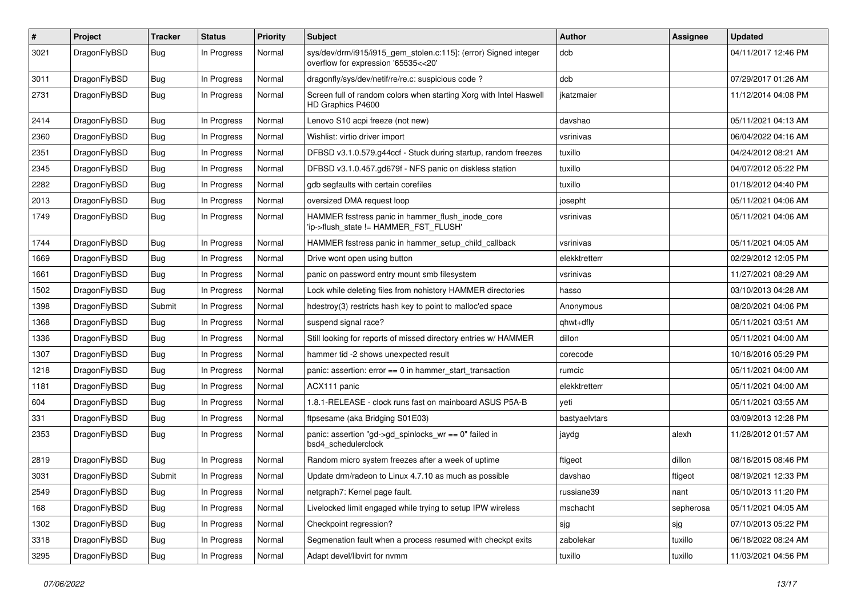| #    | Project      | <b>Tracker</b> | <b>Status</b> | <b>Priority</b> | Subject                                                                                                | <b>Author</b> | Assignee  | <b>Updated</b>      |
|------|--------------|----------------|---------------|-----------------|--------------------------------------------------------------------------------------------------------|---------------|-----------|---------------------|
| 3021 | DragonFlyBSD | Bug            | In Progress   | Normal          | sys/dev/drm/i915/i915_gem_stolen.c:115]: (error) Signed integer<br>overflow for expression '65535<<20' | dcb           |           | 04/11/2017 12:46 PM |
| 3011 | DragonFlyBSD | Bug            | In Progress   | Normal          | dragonfly/sys/dev/netif/re/re.c: suspicious code?                                                      | dcb           |           | 07/29/2017 01:26 AM |
| 2731 | DragonFlyBSD | <b>Bug</b>     | In Progress   | Normal          | Screen full of random colors when starting Xorg with Intel Haswell<br>HD Graphics P4600                | jkatzmaier    |           | 11/12/2014 04:08 PM |
| 2414 | DragonFlyBSD | <b>Bug</b>     | In Progress   | Normal          | Lenovo S10 acpi freeze (not new)                                                                       | davshao       |           | 05/11/2021 04:13 AM |
| 2360 | DragonFlyBSD | <b>Bug</b>     | In Progress   | Normal          | Wishlist: virtio driver import                                                                         | vsrinivas     |           | 06/04/2022 04:16 AM |
| 2351 | DragonFlyBSD | <b>Bug</b>     | In Progress   | Normal          | DFBSD v3.1.0.579.g44ccf - Stuck during startup, random freezes                                         | tuxillo       |           | 04/24/2012 08:21 AM |
| 2345 | DragonFlyBSD | <b>Bug</b>     | In Progress   | Normal          | DFBSD v3.1.0.457.gd679f - NFS panic on diskless station                                                | tuxillo       |           | 04/07/2012 05:22 PM |
| 2282 | DragonFlyBSD | <b>Bug</b>     | In Progress   | Normal          | gdb segfaults with certain corefiles                                                                   | tuxillo       |           | 01/18/2012 04:40 PM |
| 2013 | DragonFlyBSD | <b>Bug</b>     | In Progress   | Normal          | oversized DMA request loop                                                                             | josepht       |           | 05/11/2021 04:06 AM |
| 1749 | DragonFlyBSD | <b>Bug</b>     | In Progress   | Normal          | HAMMER fsstress panic in hammer_flush_inode_core<br>'ip->flush_state != HAMMER_FST_FLUSH'              | vsrinivas     |           | 05/11/2021 04:06 AM |
| 1744 | DragonFlyBSD | <b>Bug</b>     | In Progress   | Normal          | HAMMER fsstress panic in hammer setup child callback                                                   | vsrinivas     |           | 05/11/2021 04:05 AM |
| 1669 | DragonFlyBSD | <b>Bug</b>     | In Progress   | Normal          | Drive wont open using button                                                                           | elekktretterr |           | 02/29/2012 12:05 PM |
| 1661 | DragonFlyBSD | <b>Bug</b>     | In Progress   | Normal          | panic on password entry mount smb filesystem                                                           | vsrinivas     |           | 11/27/2021 08:29 AM |
| 1502 | DragonFlyBSD | <b>Bug</b>     | In Progress   | Normal          | Lock while deleting files from nohistory HAMMER directories                                            | hasso         |           | 03/10/2013 04:28 AM |
| 1398 | DragonFlyBSD | Submit         | In Progress   | Normal          | hdestroy(3) restricts hash key to point to malloc'ed space                                             | Anonymous     |           | 08/20/2021 04:06 PM |
| 1368 | DragonFlyBSD | <b>Bug</b>     | In Progress   | Normal          | suspend signal race?                                                                                   | qhwt+dfly     |           | 05/11/2021 03:51 AM |
| 1336 | DragonFlyBSD | <b>Bug</b>     | In Progress   | Normal          | Still looking for reports of missed directory entries w/ HAMMER                                        | dillon        |           | 05/11/2021 04:00 AM |
| 1307 | DragonFlyBSD | <b>Bug</b>     | In Progress   | Normal          | hammer tid -2 shows unexpected result                                                                  | corecode      |           | 10/18/2016 05:29 PM |
| 1218 | DragonFlyBSD | <b>Bug</b>     | In Progress   | Normal          | panic: assertion: error == 0 in hammer_start_transaction                                               | rumcic        |           | 05/11/2021 04:00 AM |
| 1181 | DragonFlyBSD | <b>Bug</b>     | In Progress   | Normal          | ACX111 panic                                                                                           | elekktretterr |           | 05/11/2021 04:00 AM |
| 604  | DragonFlyBSD | <b>Bug</b>     | In Progress   | Normal          | 1.8.1-RELEASE - clock runs fast on mainboard ASUS P5A-B                                                | yeti          |           | 05/11/2021 03:55 AM |
| 331  | DragonFlyBSD | <b>Bug</b>     | In Progress   | Normal          | ftpsesame (aka Bridging S01E03)                                                                        | bastyaelvtars |           | 03/09/2013 12:28 PM |
| 2353 | DragonFlyBSD | <b>Bug</b>     | In Progress   | Normal          | panic: assertion "gd->gd_spinlocks_wr == 0" failed in<br>bsd4 schedulerclock                           | jaydg         | alexh     | 11/28/2012 01:57 AM |
| 2819 | DragonFlyBSD | <b>Bug</b>     | In Progress   | Normal          | Random micro system freezes after a week of uptime                                                     | ftigeot       | dillon    | 08/16/2015 08:46 PM |
| 3031 | DragonFlyBSD | Submit         | In Progress   | Normal          | Update drm/radeon to Linux 4.7.10 as much as possible                                                  | davshao       | ftigeot   | 08/19/2021 12:33 PM |
| 2549 | DragonFlyBSD | <b>Bug</b>     | In Progress   | Normal          | netgraph7: Kernel page fault.                                                                          | russiane39    | nant      | 05/10/2013 11:20 PM |
| 168  | DragonFlyBSD | <b>Bug</b>     | In Progress   | Normal          | Livelocked limit engaged while trying to setup IPW wireless                                            | mschacht      | sepherosa | 05/11/2021 04:05 AM |
| 1302 | DragonFlyBSD | <b>Bug</b>     | In Progress   | Normal          | Checkpoint regression?                                                                                 | sjg           | sjg       | 07/10/2013 05:22 PM |
| 3318 | DragonFlyBSD | <b>Bug</b>     | In Progress   | Normal          | Segmenation fault when a process resumed with checkpt exits                                            | zabolekar     | tuxillo   | 06/18/2022 08:24 AM |
| 3295 | DragonFlyBSD | <b>Bug</b>     | In Progress   | Normal          | Adapt devel/libvirt for nvmm                                                                           | tuxillo       | tuxillo   | 11/03/2021 04:56 PM |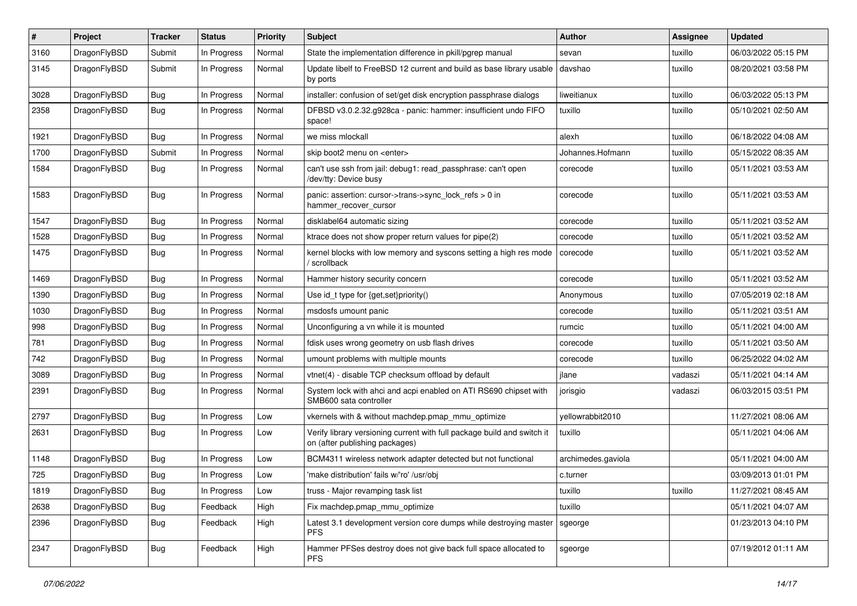| $\pmb{\#}$ | Project      | <b>Tracker</b> | <b>Status</b> | <b>Priority</b> | <b>Subject</b>                                                                                            | <b>Author</b>      | <b>Assignee</b> | <b>Updated</b>      |
|------------|--------------|----------------|---------------|-----------------|-----------------------------------------------------------------------------------------------------------|--------------------|-----------------|---------------------|
| 3160       | DragonFlyBSD | Submit         | In Progress   | Normal          | State the implementation difference in pkill/pgrep manual                                                 | sevan              | tuxillo         | 06/03/2022 05:15 PM |
| 3145       | DragonFlyBSD | Submit         | In Progress   | Normal          | Update libelf to FreeBSD 12 current and build as base library usable<br>by ports                          | davshao            | tuxillo         | 08/20/2021 03:58 PM |
| 3028       | DragonFlyBSD | <b>Bug</b>     | In Progress   | Normal          | installer: confusion of set/get disk encryption passphrase dialogs                                        | liweitianux        | tuxillo         | 06/03/2022 05:13 PM |
| 2358       | DragonFlyBSD | Bug            | In Progress   | Normal          | DFBSD v3.0.2.32.g928ca - panic: hammer: insufficient undo FIFO<br>space!                                  | tuxillo            | tuxillo         | 05/10/2021 02:50 AM |
| 1921       | DragonFlyBSD | Bug            | In Progress   | Normal          | we miss mlockall                                                                                          | alexh              | tuxillo         | 06/18/2022 04:08 AM |
| 1700       | DragonFlyBSD | Submit         | In Progress   | Normal          | skip boot2 menu on <enter></enter>                                                                        | Johannes.Hofmann   | tuxillo         | 05/15/2022 08:35 AM |
| 1584       | DragonFlyBSD | Bug            | In Progress   | Normal          | can't use ssh from jail: debug1: read_passphrase: can't open<br>/dev/tty: Device busy                     | corecode           | tuxillo         | 05/11/2021 03:53 AM |
| 1583       | DragonFlyBSD | <b>Bug</b>     | In Progress   | Normal          | panic: assertion: cursor->trans->sync_lock_refs > 0 in<br>hammer_recover_cursor                           | corecode           | tuxillo         | 05/11/2021 03:53 AM |
| 1547       | DragonFlyBSD | Bug            | In Progress   | Normal          | disklabel64 automatic sizing                                                                              | corecode           | tuxillo         | 05/11/2021 03:52 AM |
| 1528       | DragonFlyBSD | Bug            | In Progress   | Normal          | ktrace does not show proper return values for pipe(2)                                                     | corecode           | tuxillo         | 05/11/2021 03:52 AM |
| 1475       | DragonFlyBSD | Bug            | In Progress   | Normal          | kernel blocks with low memory and syscons setting a high res mode<br>/ scrollback                         | corecode           | tuxillo         | 05/11/2021 03:52 AM |
| 1469       | DragonFlyBSD | Bug            | In Progress   | Normal          | Hammer history security concern                                                                           | corecode           | tuxillo         | 05/11/2021 03:52 AM |
| 1390       | DragonFlyBSD | Bug            | In Progress   | Normal          | Use id_t type for {get,set}priority()                                                                     | Anonymous          | tuxillo         | 07/05/2019 02:18 AM |
| 1030       | DragonFlyBSD | Bug            | In Progress   | Normal          | msdosfs umount panic                                                                                      | corecode           | tuxillo         | 05/11/2021 03:51 AM |
| 998        | DragonFlyBSD | Bug            | In Progress   | Normal          | Unconfiguring a vn while it is mounted                                                                    | rumcic             | tuxillo         | 05/11/2021 04:00 AM |
| 781        | DragonFlyBSD | Bug            | In Progress   | Normal          | fdisk uses wrong geometry on usb flash drives                                                             | corecode           | tuxillo         | 05/11/2021 03:50 AM |
| 742        | DragonFlyBSD | Bug            | In Progress   | Normal          | umount problems with multiple mounts                                                                      | corecode           | tuxillo         | 06/25/2022 04:02 AM |
| 3089       | DragonFlyBSD | Bug            | In Progress   | Normal          | vtnet(4) - disable TCP checksum offload by default                                                        | jlane              | vadaszi         | 05/11/2021 04:14 AM |
| 2391       | DragonFlyBSD | Bug            | In Progress   | Normal          | System lock with ahci and acpi enabled on ATI RS690 chipset with<br>SMB600 sata controller                | jorisgio           | vadaszi         | 06/03/2015 03:51 PM |
| 2797       | DragonFlyBSD | Bug            | In Progress   | Low             | vkernels with & without machdep.pmap_mmu_optimize                                                         | yellowrabbit2010   |                 | 11/27/2021 08:06 AM |
| 2631       | DragonFlyBSD | Bug            | In Progress   | Low             | Verify library versioning current with full package build and switch it<br>on (after publishing packages) | tuxillo            |                 | 05/11/2021 04:06 AM |
| 1148       | DragonFlyBSD | Bug            | In Progress   | Low             | BCM4311 wireless network adapter detected but not functional                                              | archimedes.gaviola |                 | 05/11/2021 04:00 AM |
| 725        | DragonFlyBSD | Bug            | In Progress   | Low             | 'make distribution' fails w/'ro' /usr/obj                                                                 | c.turner           |                 | 03/09/2013 01:01 PM |
| 1819       | DragonFlyBSD | <b>Bug</b>     | In Progress   | Low             | truss - Major revamping task list                                                                         | tuxillo            | tuxillo         | 11/27/2021 08:45 AM |
| 2638       | DragonFlyBSD | Bug            | Feedback      | High            | Fix machdep.pmap mmu optimize                                                                             | tuxillo            |                 | 05/11/2021 04:07 AM |
| 2396       | DragonFlyBSD | <b>Bug</b>     | Feedback      | High            | Latest 3.1 development version core dumps while destroying master<br><b>PFS</b>                           | sgeorge            |                 | 01/23/2013 04:10 PM |
| 2347       | DragonFlyBSD | <b>Bug</b>     | Feedback      | High            | Hammer PFSes destroy does not give back full space allocated to<br><b>PFS</b>                             | sgeorge            |                 | 07/19/2012 01:11 AM |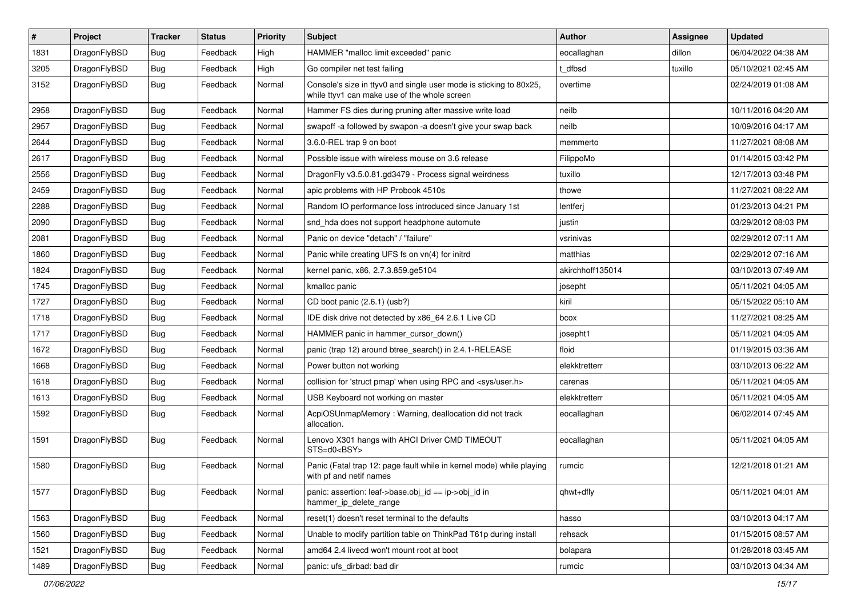| $\vert$ # | Project      | <b>Tracker</b> | <b>Status</b> | <b>Priority</b> | Subject                                                                                                            | <b>Author</b>    | <b>Assignee</b> | <b>Updated</b>      |
|-----------|--------------|----------------|---------------|-----------------|--------------------------------------------------------------------------------------------------------------------|------------------|-----------------|---------------------|
| 1831      | DragonFlyBSD | <b>Bug</b>     | Feedback      | High            | HAMMER "malloc limit exceeded" panic                                                                               | eocallaghan      | dillon          | 06/04/2022 04:38 AM |
| 3205      | DragonFlyBSD | <b>Bug</b>     | Feedback      | High            | Go compiler net test failing                                                                                       | t dfbsd          | tuxillo         | 05/10/2021 02:45 AM |
| 3152      | DragonFlyBSD | <b>Bug</b>     | Feedback      | Normal          | Console's size in ttyv0 and single user mode is sticking to 80x25,<br>while ttyv1 can make use of the whole screen | overtime         |                 | 02/24/2019 01:08 AM |
| 2958      | DragonFlyBSD | <b>Bug</b>     | Feedback      | Normal          | Hammer FS dies during pruning after massive write load                                                             | neilb            |                 | 10/11/2016 04:20 AM |
| 2957      | DragonFlyBSD | <b>Bug</b>     | Feedback      | Normal          | swapoff -a followed by swapon -a doesn't give your swap back                                                       | neilb            |                 | 10/09/2016 04:17 AM |
| 2644      | DragonFlyBSD | <b>Bug</b>     | Feedback      | Normal          | 3.6.0-REL trap 9 on boot                                                                                           | memmerto         |                 | 11/27/2021 08:08 AM |
| 2617      | DragonFlyBSD | <b>Bug</b>     | Feedback      | Normal          | Possible issue with wireless mouse on 3.6 release                                                                  | FilippoMo        |                 | 01/14/2015 03:42 PM |
| 2556      | DragonFlyBSD | <b>Bug</b>     | Feedback      | Normal          | DragonFly v3.5.0.81.gd3479 - Process signal weirdness                                                              | tuxillo          |                 | 12/17/2013 03:48 PM |
| 2459      | DragonFlyBSD | <b>Bug</b>     | Feedback      | Normal          | apic problems with HP Probook 4510s                                                                                | thowe            |                 | 11/27/2021 08:22 AM |
| 2288      | DragonFlyBSD | <b>Bug</b>     | Feedback      | Normal          | Random IO performance loss introduced since January 1st                                                            | lentferj         |                 | 01/23/2013 04:21 PM |
| 2090      | DragonFlyBSD | <b>Bug</b>     | Feedback      | Normal          | snd_hda does not support headphone automute                                                                        | justin           |                 | 03/29/2012 08:03 PM |
| 2081      | DragonFlyBSD | <b>Bug</b>     | Feedback      | Normal          | Panic on device "detach" / "failure"                                                                               | vsrinivas        |                 | 02/29/2012 07:11 AM |
| 1860      | DragonFlyBSD | <b>Bug</b>     | Feedback      | Normal          | Panic while creating UFS fs on vn(4) for initrd                                                                    | matthias         |                 | 02/29/2012 07:16 AM |
| 1824      | DragonFlyBSD | <b>Bug</b>     | Feedback      | Normal          | kernel panic, x86, 2.7.3.859.ge5104                                                                                | akirchhoff135014 |                 | 03/10/2013 07:49 AM |
| 1745      | DragonFlyBSD | <b>Bug</b>     | Feedback      | Normal          | kmalloc panic                                                                                                      | josepht          |                 | 05/11/2021 04:05 AM |
| 1727      | DragonFlyBSD | <b>Bug</b>     | Feedback      | Normal          | CD boot panic (2.6.1) (usb?)                                                                                       | kiril            |                 | 05/15/2022 05:10 AM |
| 1718      | DragonFlyBSD | <b>Bug</b>     | Feedback      | Normal          | IDE disk drive not detected by x86_64 2.6.1 Live CD                                                                | bcox             |                 | 11/27/2021 08:25 AM |
| 1717      | DragonFlyBSD | <b>Bug</b>     | Feedback      | Normal          | HAMMER panic in hammer_cursor_down()                                                                               | josepht1         |                 | 05/11/2021 04:05 AM |
| 1672      | DragonFlyBSD | <b>Bug</b>     | Feedback      | Normal          | panic (trap 12) around btree_search() in 2.4.1-RELEASE                                                             | floid            |                 | 01/19/2015 03:36 AM |
| 1668      | DragonFlyBSD | <b>Bug</b>     | Feedback      | Normal          | Power button not working                                                                                           | elekktretterr    |                 | 03/10/2013 06:22 AM |
| 1618      | DragonFlyBSD | Bug            | Feedback      | Normal          | collision for 'struct pmap' when using RPC and <sys user.h=""></sys>                                               | carenas          |                 | 05/11/2021 04:05 AM |
| 1613      | DragonFlyBSD | <b>Bug</b>     | Feedback      | Normal          | USB Keyboard not working on master                                                                                 | elekktretterr    |                 | 05/11/2021 04:05 AM |
| 1592      | DragonFlyBSD | <b>Bug</b>     | Feedback      | Normal          | AcpiOSUnmapMemory: Warning, deallocation did not track<br>allocation.                                              | eocallaghan      |                 | 06/02/2014 07:45 AM |
| 1591      | DragonFlyBSD | <b>Bug</b>     | Feedback      | Normal          | Lenovo X301 hangs with AHCI Driver CMD TIMEOUT<br>$STS=d0<BSY>$                                                    | eocallaghan      |                 | 05/11/2021 04:05 AM |
| 1580      | DragonFlyBSD | Bug            | Feedback      | Normal          | Panic (Fatal trap 12: page fault while in kernel mode) while playing<br>with pf and netif names                    | rumcic           |                 | 12/21/2018 01:21 AM |
| 1577      | DragonFlyBSD | <b>Bug</b>     | Feedback      | Normal          | panic: assertion: leaf->base.obj_id == ip->obj_id in<br>hammer_ip_delete_range                                     | qhwt+dfly        |                 | 05/11/2021 04:01 AM |
| 1563      | DragonFlyBSD | <b>Bug</b>     | Feedback      | Normal          | reset(1) doesn't reset terminal to the defaults                                                                    | hasso            |                 | 03/10/2013 04:17 AM |
| 1560      | DragonFlyBSD | <b>Bug</b>     | Feedback      | Normal          | Unable to modify partition table on ThinkPad T61p during install                                                   | rehsack          |                 | 01/15/2015 08:57 AM |
| 1521      | DragonFlyBSD | <b>Bug</b>     | Feedback      | Normal          | amd64 2.4 livecd won't mount root at boot                                                                          | bolapara         |                 | 01/28/2018 03:45 AM |
| 1489      | DragonFlyBSD | <b>Bug</b>     | Feedback      | Normal          | panic: ufs_dirbad: bad dir                                                                                         | rumcic           |                 | 03/10/2013 04:34 AM |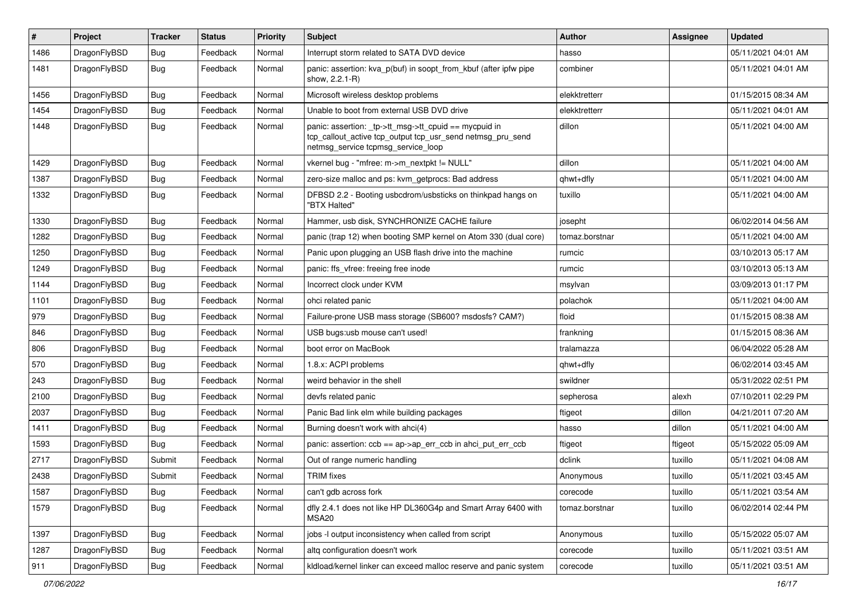| $\sharp$ | Project      | <b>Tracker</b> | <b>Status</b> | <b>Priority</b> | <b>Subject</b>                                                                                                                                            | <b>Author</b>  | Assignee | <b>Updated</b>      |
|----------|--------------|----------------|---------------|-----------------|-----------------------------------------------------------------------------------------------------------------------------------------------------------|----------------|----------|---------------------|
| 1486     | DragonFlyBSD | <b>Bug</b>     | Feedback      | Normal          | Interrupt storm related to SATA DVD device                                                                                                                | hasso          |          | 05/11/2021 04:01 AM |
| 1481     | DragonFlyBSD | <b>Bug</b>     | Feedback      | Normal          | panic: assertion: kva_p(buf) in soopt_from_kbuf (after ipfw pipe<br>show, 2.2.1-R)                                                                        | combiner       |          | 05/11/2021 04:01 AM |
| 1456     | DragonFlyBSD | Bug            | Feedback      | Normal          | Microsoft wireless desktop problems                                                                                                                       | elekktretterr  |          | 01/15/2015 08:34 AM |
| 1454     | DragonFlyBSD | <b>Bug</b>     | Feedback      | Normal          | Unable to boot from external USB DVD drive                                                                                                                | elekktretterr  |          | 05/11/2021 04:01 AM |
| 1448     | DragonFlyBSD | Bug            | Feedback      | Normal          | panic: assertion: _tp->tt_msg->tt_cpuid == mycpuid in<br>tcp_callout_active tcp_output tcp_usr_send netmsg_pru_send<br>netmsg_service tcpmsg_service_loop | dillon         |          | 05/11/2021 04:00 AM |
| 1429     | DragonFlyBSD | Bug            | Feedback      | Normal          | vkernel bug - "mfree: m->m_nextpkt != NULL"                                                                                                               | dillon         |          | 05/11/2021 04:00 AM |
| 1387     | DragonFlyBSD | Bug            | Feedback      | Normal          | zero-size malloc and ps: kvm_getprocs: Bad address                                                                                                        | qhwt+dfly      |          | 05/11/2021 04:00 AM |
| 1332     | DragonFlyBSD | <b>Bug</b>     | Feedback      | Normal          | DFBSD 2.2 - Booting usbcdrom/usbsticks on thinkpad hangs on<br>"BTX Halted"                                                                               | tuxillo        |          | 05/11/2021 04:00 AM |
| 1330     | DragonFlyBSD | Bug            | Feedback      | Normal          | Hammer, usb disk, SYNCHRONIZE CACHE failure                                                                                                               | josepht        |          | 06/02/2014 04:56 AM |
| 1282     | DragonFlyBSD | <b>Bug</b>     | Feedback      | Normal          | panic (trap 12) when booting SMP kernel on Atom 330 (dual core)                                                                                           | tomaz.borstnar |          | 05/11/2021 04:00 AM |
| 1250     | DragonFlyBSD | <b>Bug</b>     | Feedback      | Normal          | Panic upon plugging an USB flash drive into the machine                                                                                                   | rumcic         |          | 03/10/2013 05:17 AM |
| 1249     | DragonFlyBSD | <b>Bug</b>     | Feedback      | Normal          | panic: ffs vfree: freeing free inode                                                                                                                      | rumcic         |          | 03/10/2013 05:13 AM |
| 1144     | DragonFlyBSD | <b>Bug</b>     | Feedback      | Normal          | Incorrect clock under KVM                                                                                                                                 | msylvan        |          | 03/09/2013 01:17 PM |
| 1101     | DragonFlyBSD | <b>Bug</b>     | Feedback      | Normal          | ohci related panic                                                                                                                                        | polachok       |          | 05/11/2021 04:00 AM |
| 979      | DragonFlyBSD | <b>Bug</b>     | Feedback      | Normal          | Failure-prone USB mass storage (SB600? msdosfs? CAM?)                                                                                                     | floid          |          | 01/15/2015 08:38 AM |
| 846      | DragonFlyBSD | <b>Bug</b>     | Feedback      | Normal          | USB bugs:usb mouse can't used!                                                                                                                            | frankning      |          | 01/15/2015 08:36 AM |
| 806      | DragonFlyBSD | <b>Bug</b>     | Feedback      | Normal          | boot error on MacBook                                                                                                                                     | tralamazza     |          | 06/04/2022 05:28 AM |
| 570      | DragonFlyBSD | <b>Bug</b>     | Feedback      | Normal          | 1.8.x: ACPI problems                                                                                                                                      | qhwt+dfly      |          | 06/02/2014 03:45 AM |
| 243      | DragonFlyBSD | <b>Bug</b>     | Feedback      | Normal          | weird behavior in the shell                                                                                                                               | swildner       |          | 05/31/2022 02:51 PM |
| 2100     | DragonFlyBSD | <b>Bug</b>     | Feedback      | Normal          | devfs related panic                                                                                                                                       | sepherosa      | alexh    | 07/10/2011 02:29 PM |
| 2037     | DragonFlyBSD | <b>Bug</b>     | Feedback      | Normal          | Panic Bad link elm while building packages                                                                                                                | ftigeot        | dillon   | 04/21/2011 07:20 AM |
| 1411     | DragonFlyBSD | <b>Bug</b>     | Feedback      | Normal          | Burning doesn't work with ahci(4)                                                                                                                         | hasso          | dillon   | 05/11/2021 04:00 AM |
| 1593     | DragonFlyBSD | <b>Bug</b>     | Feedback      | Normal          | panic: assertion: ccb == ap->ap_err_ccb in ahci_put_err_ccb                                                                                               | ftigeot        | ftigeot  | 05/15/2022 05:09 AM |
| 2717     | DragonFlyBSD | Submit         | Feedback      | Normal          | Out of range numeric handling                                                                                                                             | dclink         | tuxillo  | 05/11/2021 04:08 AM |
| 2438     | DragonFlyBSD | Submit         | Feedback      | Normal          | <b>TRIM</b> fixes                                                                                                                                         | Anonymous      | tuxillo  | 05/11/2021 03:45 AM |
| 1587     | DragonFlyBSD | <b>Bug</b>     | Feedback      | Normal          | can't gdb across fork                                                                                                                                     | corecode       | tuxillo  | 05/11/2021 03:54 AM |
| 1579     | DragonFlyBSD | <b>Bug</b>     | Feedback      | Normal          | dfly 2.4.1 does not like HP DL360G4p and Smart Array 6400 with<br>MSA20                                                                                   | tomaz.borstnar | tuxillo  | 06/02/2014 02:44 PM |
| 1397     | DragonFlyBSD | <b>Bug</b>     | Feedback      | Normal          | jobs -I output inconsistency when called from script                                                                                                      | Anonymous      | tuxillo  | 05/15/2022 05:07 AM |
| 1287     | DragonFlyBSD | <b>Bug</b>     | Feedback      | Normal          | altg configuration doesn't work                                                                                                                           | corecode       | tuxillo  | 05/11/2021 03:51 AM |
| 911      | DragonFlyBSD | <b>Bug</b>     | Feedback      | Normal          | kldload/kernel linker can exceed malloc reserve and panic system                                                                                          | corecode       | tuxillo  | 05/11/2021 03:51 AM |